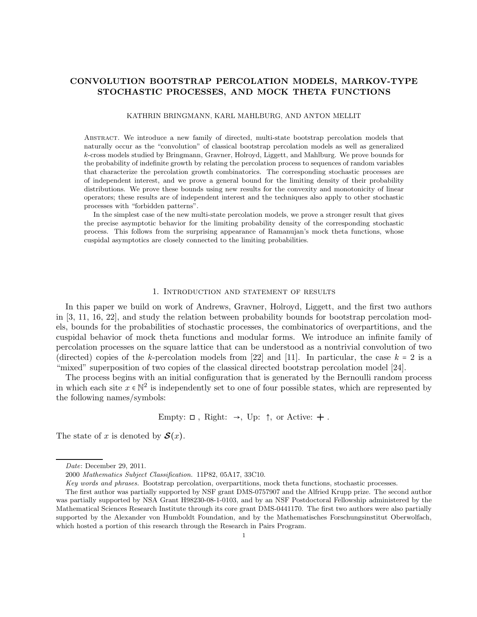## CONVOLUTION BOOTSTRAP PERCOLATION MODELS, MARKOV-TYPE STOCHASTIC PROCESSES, AND MOCK THETA FUNCTIONS

#### KATHRIN BRINGMANN, KARL MAHLBURG, AND ANTON MELLIT

ABSTRACT. We introduce a new family of directed, multi-state bootstrap percolation models that naturally occur as the "convolution" of classical bootstrap percolation models as well as generalized k-cross models studied by Bringmann, Gravner, Holroyd, Liggett, and Mahlburg. We prove bounds for the probability of indefinite growth by relating the percolation process to sequences of random variables that characterize the percolation growth combinatorics. The corresponding stochastic processes are of independent interest, and we prove a general bound for the limiting density of their probability distributions. We prove these bounds using new results for the convexity and monotonicity of linear operators; these results are of independent interest and the techniques also apply to other stochastic processes with "forbidden patterns".

In the simplest case of the new multi-state percolation models, we prove a stronger result that gives the precise asymptotic behavior for the limiting probability density of the corresponding stochastic process. This follows from the surprising appearance of Ramanujan's mock theta functions, whose cuspidal asymptotics are closely connected to the limiting probabilities.

#### 1. Introduction and statement of results

In this paper we build on work of Andrews, Gravner, Holroyd, Liggett, and the first two authors in [3, 11, 16, 22], and study the relation between probability bounds for bootstrap percolation models, bounds for the probabilities of stochastic processes, the combinatorics of overpartitions, and the cuspidal behavior of mock theta functions and modular forms. We introduce an infinite family of percolation processes on the square lattice that can be understood as a nontrivial convolution of two (directed) copies of the k-percolation models from [22] and [11]. In particular, the case  $k = 2$  is a "mixed" superposition of two copies of the classical directed bootstrap percolation model [24].

The process begins with an initial configuration that is generated by the Bernoulli random process in which each site  $x \in \mathbb{N}^2$  is independently set to one of four possible states, which are represented by the following names/symbols:

Empty:  $\Box$ , Right:  $\rightarrow$ , Up:  $\uparrow$ , or Active:  $+$ .

The state of x is denoted by  $\mathcal{S}(x)$ .

Date: December 29, 2011.

<sup>2000</sup> Mathematics Subject Classification. 11P82, 05A17, 33C10.

Key words and phrases. Bootstrap percolation, overpartitions, mock theta functions, stochastic processes.

The first author was partially supported by NSF grant DMS-0757907 and the Alfried Krupp prize. The second author was partially supported by NSA Grant H98230-08-1-0103, and by an NSF Postdoctoral Fellowship administered by the Mathematical Sciences Research Institute through its core grant DMS-0441170. The first two authors were also partially supported by the Alexander von Humboldt Foundation, and by the Mathematisches Forschungsinstitut Oberwolfach, which hosted a portion of this research through the Research in Pairs Program.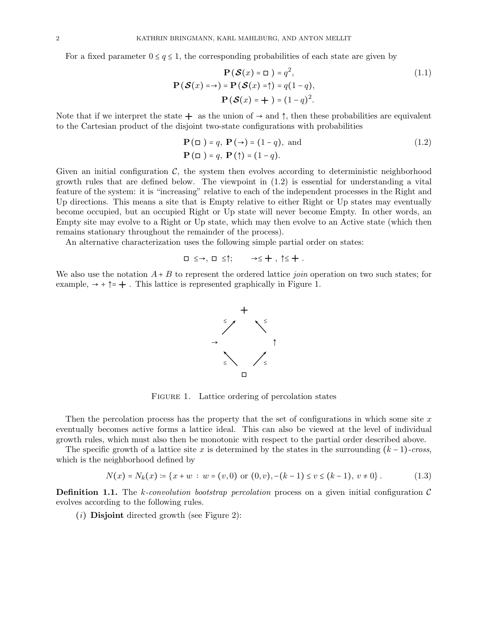For a fixed parameter  $0 \le q \le 1$ , the corresponding probabilities of each state are given by

$$
\mathbf{P}(\mathcal{S}(x) = \Box) = q^2,
$$
  
\n
$$
\mathbf{P}(\mathcal{S}(x) = \rightarrow) = \mathbf{P}(\mathcal{S}(x) = \uparrow) = q(1 - q),
$$
  
\n
$$
\mathbf{P}(\mathcal{S}(x) = \rightarrow) = (1 - q)^2.
$$
\n(1.1)

Note that if we interpret the state  $+$  as the union of  $\rightarrow$  and  $\uparrow$ , then these probabilities are equivalent to the Cartesian product of the disjoint two-state configurations with probabilities

$$
\mathbf{P}(\Box) = q, \mathbf{P}(\rightarrow) = (1 - q), \text{ and}
$$
  

$$
\mathbf{P}(\Box) = q, \mathbf{P}(\uparrow) = (1 - q).
$$
 (1.2)

Given an initial configuration  $\mathcal{C}$ , the system then evolves according to deterministic neighborhood growth rules that are defined below. The viewpoint in (1.2) is essential for understanding a vital feature of the system: it is "increasing" relative to each of the independent processes in the Right and Up directions. This means a site that is Empty relative to either Right or Up states may eventually become occupied, but an occupied Right or Up state will never become Empty. In other words, an Empty site may evolve to a Right or Up state, which may then evolve to an Active state (which then remains stationary throughout the remainder of the process).

An alternative characterization uses the following simple partial order on states:

$$
\Box\,\,\leq\to,\,\,\Box\,\,\leq\,\uparrow;\qquad\to\,\leq\,+\ ,\,\,\uparrow\,\leq\,+\ .
$$

We also use the notation  $A + B$  to represent the ordered lattice *join* operation on two such states; for example,  $\rightarrow + \uparrow = +$ . This lattice is represented graphically in Figure 1.



FIGURE 1. Lattice ordering of percolation states

Then the percolation process has the property that the set of configurations in which some site  $x$ eventually becomes active forms a lattice ideal. This can also be viewed at the level of individual growth rules, which must also then be monotonic with respect to the partial order described above.

The specific growth of a lattice site x is determined by the states in the surrounding  $(k-1)$ -cross, which is the neighborhood defined by

$$
N(x) = N_k(x) \coloneqq \{x + w : w = (v, 0) \text{ or } (0, v), -(k - 1) \le v \le (k - 1), v \ne 0\}.
$$
 (1.3)

**Definition 1.1.** The k-convolution bootstrap percolation process on a given initial configuration  $\mathcal{C}$ evolves according to the following rules.

 $(i)$  **Disjoint** directed growth (see Figure 2):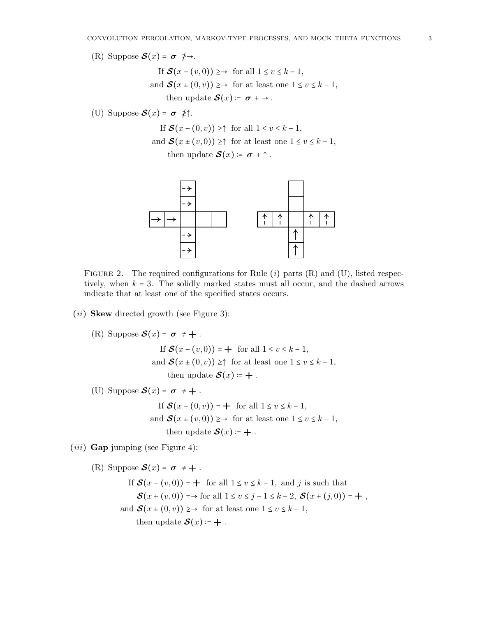- (R) Suppose  $\mathcal{S}(x) = \sigma \neq \rightarrow$ .
	- If  $\mathcal{S}(x (v, 0)) \geq \rightarrow$  for all  $1 \leq v \leq k 1$ , and  $\mathcal{S}(x \pm (0, v)) \geq \rightarrow$  for at least one  $1 \leq v \leq k - 1$ , then update  $\mathcal{S}(x) \coloneqq \sigma + \rightarrow$ .
- (U) Suppose  $\mathcal{S}(x) = \sigma \neq^*$ .

If  $\mathcal{S}(x - (0, v)) \geq \uparrow$  for all  $1 \leq v \leq k - 1$ ,

and  $\mathcal{S}(x \pm (v, 0)) \geq \uparrow$  for at least one  $1 \leq v \leq k - 1$ , then update  $\mathcal{S}(x) \coloneqq \sigma + \uparrow$ .



FIGURE 2. The required configurations for Rule  $(i)$  parts  $(R)$  and  $(U)$ , listed respectively, when  $k = 3$ . The solidly marked states must all occur, and the dashed arrows indicate that at least one of the specified states occurs.

## $(ii)$  Skew directed growth (see Figure 3):

(R) Suppose 
$$
\mathcal{S}(x) = \sigma \neq +
$$
.  
\nIf  $\mathcal{S}(x - (v, 0)) = +$  for all  $1 \le v \le k - 1$ ,  
\nand  $\mathcal{S}(x \pm (0, v)) \ge \uparrow$  for at least one  $1 \le v \le k - 1$ ,

then update  $\mathcal{S}(x) \coloneqq +$ .

(U) Suppose  $S(x) = \sigma \neq +$ .

If 
$$
\mathcal{S}(x - (0, v)) = +
$$
 for all  $1 \le v \le k - 1$ ,  
and  $\mathcal{S}(x \pm (v, 0)) \ge \rightarrow$  for at least one  $1 \le v \le k - 1$ ,  
then update  $\mathcal{S}(x) := +$ .

 $(iii)$  Gap jumping (see Figure 4):

(R) Suppose 
$$
\mathcal{S}(x) = \sigma \neq +
$$
.  
\nIf  $\mathcal{S}(x - (v, 0)) = +$  for all  $1 \le v \le k - 1$ , and  $j$  is such that  
\n $\mathcal{S}(x + (v, 0)) = \rightarrow$  for all  $1 \le v \le j - 1 \le k - 2$ ,  $\mathcal{S}(x + (j, 0)) = +$ ,  
\nand  $\mathcal{S}(x \pm (0, v)) \geq \rightarrow$  for at least one  $1 \le v \le k - 1$ ,  
\nthen update  $\mathcal{S}(x) := +$ .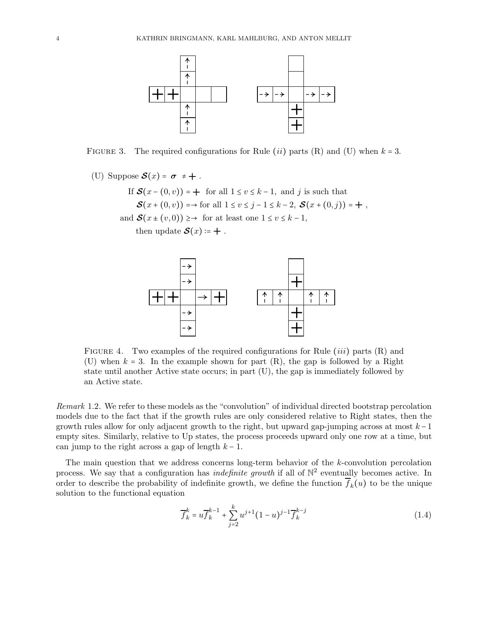

FIGURE 3. The required configurations for Rule (ii) parts (R) and (U) when  $k = 3$ .

(U) Suppose  $S(x) = \sigma \neq +$ .

If  $\mathcal{S}(x - (0, v)) = +$  for all  $1 \le v \le k - 1$ , and j is such that  $\mathcal{S}(x + (0, v)) = \to$  for all  $1 \le v \le j - 1 \le k - 2$ ,  $\mathcal{S}(x + (0, j)) = +$ , and  $\mathcal{S}(x \pm (v, 0)) \geq \rightarrow$  for at least one  $1 \leq v \leq k - 1$ ,

then update  $S(x) \coloneqq +$ .



FIGURE 4. Two examples of the required configurations for Rule  $(iii)$  parts  $(R)$  and (U) when  $k = 3$ . In the example shown for part  $(R)$ , the gap is followed by a Right state until another Active state occurs; in part (U), the gap is immediately followed by an Active state.

Remark 1.2. We refer to these models as the "convolution" of individual directed bootstrap percolation models due to the fact that if the growth rules are only considered relative to Right states, then the growth rules allow for only adjacent growth to the right, but upward gap-jumping across at most  $k-1$ empty sites. Similarly, relative to Up states, the process proceeds upward only one row at a time, but can jump to the right across a gap of length  $k - 1$ .

The main question that we address concerns long-term behavior of the k-convolution percolation process. We say that a configuration has *indefinite growth* if all of  $\mathbb{N}^2$  eventually becomes active. In order to describe the probability of indefinite growth, we define the function  $f_k(u)$  to be the unique solution to the functional equation

$$
\overline{f}_k^k = u \overline{f}_k^{k-1} + \sum_{j=2}^k u^{j+1} (1-u)^{j-1} \overline{f}_k^{k-j}
$$
\n(1.4)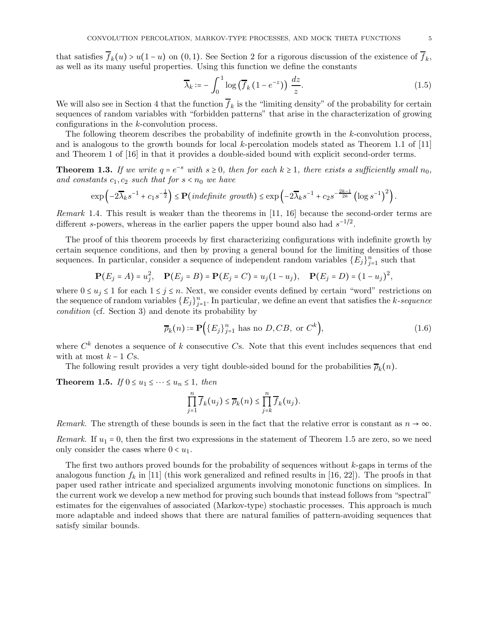that satisfies  $f_k(u) > u(1-u)$  on  $(0,1)$ . See Section 2 for a rigorous discussion of the existence of  $f_k$ , as well as its many useful properties. Using this function we define the constants

$$
\overline{\lambda}_k := -\int_0^1 \log\left(\overline{f}_k\left(1 - e^{-z}\right)\right) \frac{dz}{z}.\tag{1.5}
$$

We will also see in Section 4 that the function  $f_k$  is the "limiting density" of the probability for certain sequences of random variables with "forbidden patterns" that arise in the characterization of growing configurations in the k-convolution process.

The following theorem describes the probability of indefinite growth in the k-convolution process, and is analogous to the growth bounds for local k-percolation models stated as Theorem 1.1 of [11] and Theorem 1 of [16] in that it provides a double-sided bound with explicit second-order terms.

**Theorem 1.3.** If we write  $q = e^{-s}$  with  $s \ge 0$ , then for each  $k \ge 1$ , there exists a sufficiently small  $n_0$ , and constants  $c_1, c_2$  such that for  $s < n_0$  we have

$$
\exp\left(-2\overline{\lambda}_k s^{-1}+c_1s^{-\frac{1}{2}}\right)\leq \mathbf{P}\left(\text{indefinite growth}\right)\leq \exp\left(-2\overline{\lambda}_k s^{-1}+c_2s^{-\frac{2k-1}{2k}}\left(\log s^{-1}\right)^2\right).
$$

Remark 1.4. This result is weaker than the theorems in [11, 16] because the second-order terms are different s-powers, whereas in the earlier papers the upper bound also had  $s^{-1/2}$ .

The proof of this theorem proceeds by first characterizing configurations with indefinite growth by certain sequence conditions, and then by proving a general bound for the limiting densities of those sequences. In particular, consider a sequence of independent random variables  $\{E_j\}_{j=1}^n$  such that

$$
\mathbf{P}(E_j = A) = u_j^2, \quad \mathbf{P}(E_j = B) = \mathbf{P}(E_j = C) = u_j(1 - u_j), \quad \mathbf{P}(E_j = D) = (1 - u_j)^2,
$$

where  $0 \le u_j \le 1$  for each  $1 \le j \le n$ . Next, we consider events defined by certain "word" restrictions on the sequence of random variables  $\{E_j\}_{j=1}^n$ . In particular, we define an event that satisfies the k-sequence condition (cf. Section 3) and denote its probability by

$$
\overline{\rho}_k(n) \coloneqq \mathbf{P}\Big(\{E_j\}_{j=1}^n \text{ has no } D, CB, \text{ or } C^k\Big),\tag{1.6}
$$

where  $C<sup>k</sup>$  denotes a sequence of k consecutive Cs. Note that this event includes sequences that end with at most  $k - 1$  Cs.

The following result provides a very tight double-sided bound for the probabilities  $\bar{\rho}_k(n)$ .

**Theorem 1.5.** If  $0 \le u_1 \le \cdots \le u_n \le 1$ , then

$$
\prod_{j=1}^n \overline{f}_k(u_j) \leq \overline{\rho}_k(n) \leq \prod_{j=k}^n \overline{f}_k(u_j).
$$

Remark. The strength of these bounds is seen in the fact that the relative error is constant as  $n \to \infty$ .

Remark. If  $u_1 = 0$ , then the first two expressions in the statement of Theorem 1.5 are zero, so we need only consider the cases where  $0 < u_1$ .

The first two authors proved bounds for the probability of sequences without  $k$ -gaps in terms of the analogous function  $f_k$  in [11] (this work generalized and refined results in [16, 22]). The proofs in that paper used rather intricate and specialized arguments involving monotonic functions on simplices. In the current work we develop a new method for proving such bounds that instead follows from "spectral" estimates for the eigenvalues of associated (Markov-type) stochastic processes. This approach is much more adaptable and indeed shows that there are natural families of pattern-avoiding sequences that satisfy similar bounds.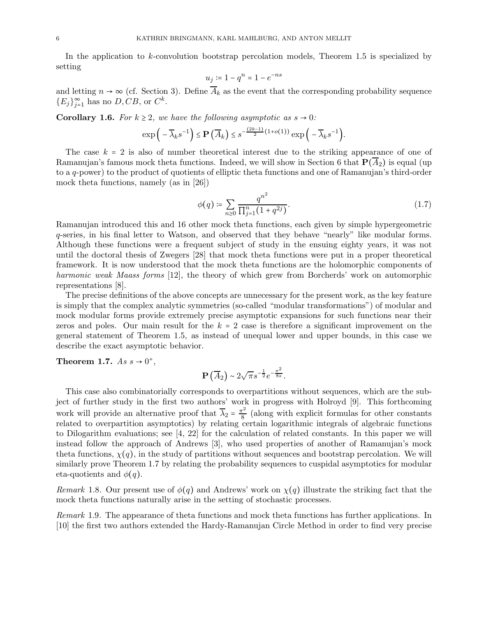In the application to  $k$ -convolution bootstrap percolation models, Theorem 1.5 is specialized by setting

$$
u_j \coloneqq 1 - q^n = 1 - e^{-ns}
$$

and letting  $n \to \infty$  (cf. Section 3). Define  $\overline{A}_k$  as the event that the corresponding probability sequence  ${E_j}_{j=1}^{\infty}$  has no  $D, CB$ , or  $C^k$ .

**Corollary 1.6.** For  $k \geq 2$ , we have the following asymptotic as  $s \to 0$ :

$$
\exp\bigg(-\overline{\lambda}_k s^{-1}\bigg)\le \mathbf{P}\left(\overline{A}_k\right)\le s^{-\frac{(2k-1)}{2}(1+o(1))}\exp\bigg(-\overline{\lambda}_k s^{-1}\bigg).
$$

The case  $k = 2$  is also of number theoretical interest due to the striking appearance of one of Ramanujan's famous mock theta functions. Indeed, we will show in Section 6 that  $\mathbf{P}(\overline{A}_2)$  is equal (up to a q-power) to the product of quotients of elliptic theta functions and one of Ramanujan's third-order mock theta functions, namely (as in [26])

$$
\phi(q) \coloneqq \sum_{n \geq 0} \frac{q^{n^2}}{\prod_{j=1}^n (1 + q^{2j})}.
$$
\n(1.7)

Ramanujan introduced this and 16 other mock theta functions, each given by simple hypergeometric q-series, in his final letter to Watson, and observed that they behave "nearly" like modular forms. Although these functions were a frequent subject of study in the ensuing eighty years, it was not until the doctoral thesis of Zwegers [28] that mock theta functions were put in a proper theoretical framework. It is now understood that the mock theta functions are the holomorphic components of harmonic weak Maass forms [12], the theory of which grew from Borcherds' work on automorphic representations [8].

The precise definitions of the above concepts are unnecessary for the present work, as the key feature is simply that the complex analytic symmetries (so-called "modular transformations") of modular and mock modular forms provide extremely precise asymptotic expansions for such functions near their zeros and poles. Our main result for the  $k = 2$  case is therefore a significant improvement on the general statement of Theorem 1.5, as instead of unequal lower and upper bounds, in this case we describe the exact asymptotic behavior.

Theorem 1.7.  $As s \rightarrow 0^+$ ,

$$
\mathbf{P}\left(\overline{A}_{2}\right) \sim 2\sqrt{\pi} s^{-\frac{1}{2}} e^{-\frac{\pi^{2}}{8s}}.
$$

This case also combinatorially corresponds to overpartitions without sequences, which are the subject of further study in the first two authors' work in progress with Holroyd [9]. This forthcoming work will provide an alternative proof that  $\overline{\lambda}_2 = \frac{\pi^2}{8}$  $\frac{67}{8}$  (along with explicit formulas for other constants related to overpartition asymptotics) by relating certain logarithmic integrals of algebraic functions to Dilogarithm evaluations; see [4, 22] for the calculation of related constants. In this paper we will instead follow the approach of Andrews [3], who used properties of another of Ramanujan's mock theta functions,  $\chi(q)$ , in the study of partitions without sequences and bootstrap percolation. We will similarly prove Theorem 1.7 by relating the probability sequences to cuspidal asymptotics for modular eta-quotients and  $\phi(q)$ .

Remark 1.8. Our present use of  $\phi(q)$  and Andrews' work on  $\chi(q)$  illustrate the striking fact that the mock theta functions naturally arise in the setting of stochastic processes.

Remark 1.9. The appearance of theta functions and mock theta functions has further applications. In [10] the first two authors extended the Hardy-Ramanujan Circle Method in order to find very precise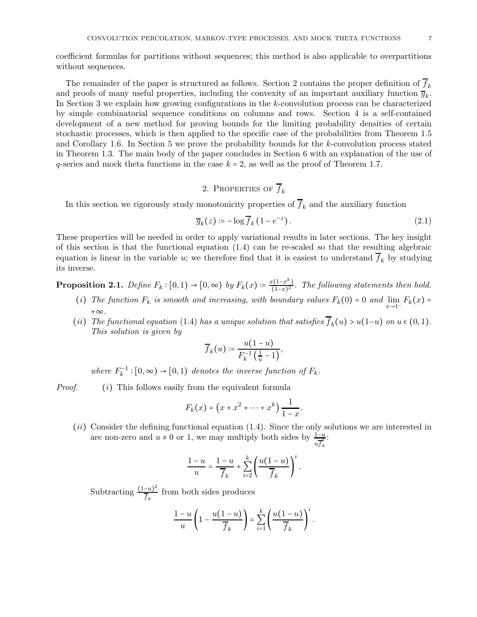coefficient formulas for partitions without sequences; this method is also applicable to overpartitions without sequences.

The remainder of the paper is structured as follows. Section 2 contains the proper definition of  $f_k$ and proofs of many useful properties, including the convexity of an important auxiliary function  $\overline{g}_k$ . In Section 3 we explain how growing configurations in the k-convolution process can be characterized by simple combinatorial sequence conditions on columns and rows. Section 4 is a self-contained development of a new method for proving bounds for the limiting probability densities of certain stochastic processes, which is then applied to the specific case of the probabilities from Theorem 1.5 and Corollary 1.6. In Section 5 we prove the probability bounds for the k-convolution process stated in Theorem 1.3. The main body of the paper concludes in Section 6 with an explanation of the use of q-series and mock theta functions in the case  $k = 2$ , as well as the proof of Theorem 1.7.

# 2. PROPERTIES OF  $\overline{f}_k$

In this section we rigorously study monotonicity properties of  $\overline{f}_k$  and the auxiliary function

$$
\overline{g}_k(z) \coloneqq -\log \overline{f}_k \left( 1 - e^{-z} \right). \tag{2.1}
$$

These properties will be needed in order to apply variational results in later sections. The key insight of this section is that the functional equation (1.4) can be re-scaled so that the resulting algebraic equation is linear in the variable u; we therefore find that it is easiest to understand  $\overline{f}_k$  by studying its inverse.

**Proposition 2.1.** Define  $F_k : [0,1) \to [0,\infty)$  by  $F_k(x) \coloneqq \frac{x(1-x^k)}{(1-x)^2}$  $\frac{f(1-x)}{(1-x)^2}$ . The following statements then hold.

- (i) The function  $F_k$  is smooth and increasing, with boundary values  $F_k(0) = 0$  and  $\lim_{x \to 1^-} F_k(x) =$ +∞.
- (ii) The functional equation (1.4) has a unique solution that satisfies  $\overline{f}_k(u) > u(1-u)$  on  $u \in (0,1)$ . This solution is given by

$$
\overline{f}_k(u) \coloneqq \frac{u(1-u)}{F_k^{-1}\left(\frac{1}{u}-1\right)},
$$

where  $F_k^{-1}$ :  $[0, \infty) \rightarrow [0, 1)$  denotes the inverse function of  $F_k$ .

Proof. (i) This follows easily from the equivalent formula

$$
F_k(x) = (x + x^2 + \dots + x^k) \frac{1}{1 - x}.
$$

(ii) Consider the defining functional equation (1.4). Since the only solutions we are interested in are non-zero and  $u \neq 0$  or 1, we may multiply both sides by  $\frac{1-u}{u f_k^k}$ :

$$
\frac{1-u}{u} = \frac{1-u}{\overline{f}_k} + \sum_{i=2}^k \left( \frac{u(1-u)}{\overline{f}_k} \right)^i.
$$

Subtracting  $\frac{(1-u)^2}{\overline{t}}$  $\frac{du}{\overline{f}_k}$  from both sides produces

$$
\frac{1-u}{u}\left(1-\frac{u(1-u)}{\overline{f}_k}\right)=\sum_{i=1}^k\left(\frac{u(1-u)}{\overline{f}_k}\right)^i.
$$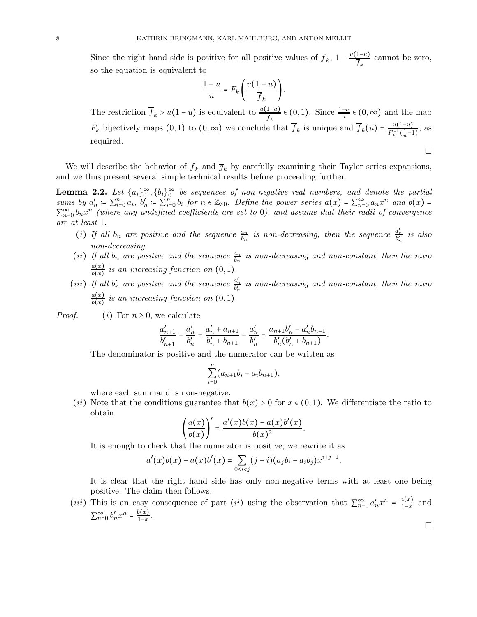Since the right hand side is positive for all positive values of  $\overline{f}_k$ ,  $1 - \frac{u(1-u)}{\overline{f}_k}$  $\frac{1-u}{\overline{f}_k}$  cannot be zero, so the equation is equivalent to

$$
\frac{1-u}{u} = F_k \left( \frac{u(1-u)}{\overline{f}_k} \right).
$$

The restriction  $\overline{f}_k > u(1-u)$  is equivalent to  $\frac{u(1-u)}{f_k} \in (0,1)$ . Since  $\frac{1-u}{u} \in (0,\infty)$  and the map  $F_k$  bijectively maps  $(0, 1)$  to  $(0, \infty)$  we conclude that  $\overline{f}_k$  is unique and  $\overline{f}_k(u) = \frac{u(1-u)}{F_k^{-1}(\frac{1}{n}-1)}$  $\frac{u(1-u)}{F_k^{-1}(\frac{1}{u}-1)},$  as required.  $\Box$ 

We will describe the behavior of  $\overline{f}_k$  and  $\overline{g}_k$  by carefully examining their Taylor series expansions, and we thus present several simple technical results before proceeding further.

**Lemma 2.2.** Let  $\{a_i\}_{0}^{\infty}$ ,  $\{b_i\}_{0}^{\infty}$  be sequences of non-negative real numbers, and denote the partial sums by  $a'_n := \sum_{i=0}^n a_i$ ,  $b'_n := \sum_{i=0}^n b_i$  for  $n \in \mathbb{Z}_{\geq 0}$ . Define the power series  $a(x) = \sum_{n=0}^{\infty} a_n x^n$  and  $b(x) =$  $\sum_{n=0}^{\infty} b_n x^n$  (where any undefined coefficients are set to 0), and assume that their radii of convergence are at least 1.

- (i) If all  $b_n$  are positive and the sequence  $\frac{a_n}{b_n}$  is non-decreasing, then the sequence  $\frac{a'_n}{b'_n}$  is also non-decreasing.
- (ii) If all  $b_n$  are positive and the sequence  $\frac{a_n}{b_n}$  is non-decreasing and non-constant, then the ratio  $a(x)$  $\frac{d(x)}{b(x)}$  is an increasing function on  $(0,1)$ .
- (iii) If all  $b'_n$  are positive and the sequence  $\frac{a'_n}{b'_n}$  is non-decreasing and non-constant, then the ratio  $a(x)$  $\frac{d(x)}{b(x)}$  is an increasing function on  $(0,1)$ .

*Proof.* (i) For  $n \geq 0$ , we calculate

$$
\frac{a'_{n+1}}{b'_{n+1}} - \frac{a'_n}{b'_n} = \frac{a'_n + a_{n+1}}{b'_n + b_{n+1}} - \frac{a'_n}{b'_n} = \frac{a_{n+1}b'_n - a'_n b_{n+1}}{b'_n (b'_n + b_{n+1})}.
$$

The denominator is positive and the numerator can be written as

$$
\sum_{i=0}^{n} (a_{n+1}b_i - a_ib_{n+1}),
$$

where each summand is non-negative.

(ii) Note that the conditions guarantee that  $b(x) > 0$  for  $x \in (0,1)$ . We differentiate the ratio to obtain

$$
\left(\frac{a(x)}{b(x)}\right)' = \frac{a'(x)b(x) - a(x)b'(x)}{b(x)^2}.
$$

It is enough to check that the numerator is positive; we rewrite it as

$$
a'(x)b(x) - a(x)b'(x) = \sum_{0 \le i < j} (j-i)(a_jb_i - a_ib_j)x^{i+j-1}.
$$

It is clear that the right hand side has only non-negative terms with at least one being positive. The claim then follows.

 $\Box$ 

(*iii*) This is an easy consequence of part (*ii*) using the observation that  $\sum_{n=0}^{\infty} a'_n x^n = \frac{a(x)}{1-x}$  $\frac{u(x)}{1-x}$  and  $\sum_{n=0}^{\infty} b'_n x^n = \frac{b(x)}{1-x}$  $\frac{f(x)}{1-x}$ .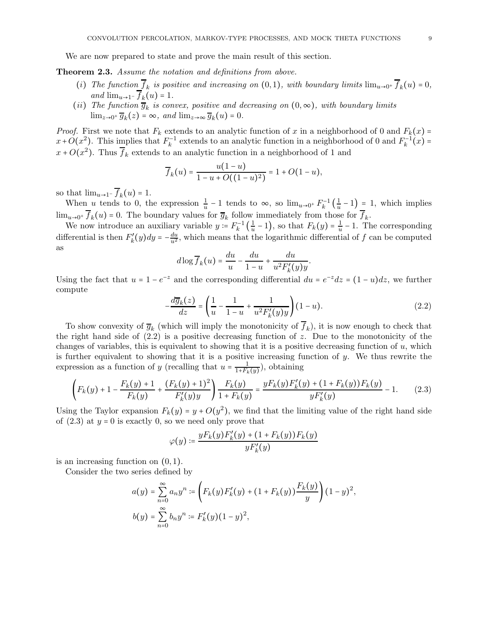We are now prepared to state and prove the main result of this section.

Theorem 2.3. Assume the notation and definitions from above.

- (i) The function  $f_k$  is positive and increasing on  $(0,1)$ , with boundary limits  $\lim_{u\to 0^+} f_k(u) = 0$ , and  $\lim_{u\to 1^-} f_k(u) = 1$ .
- (ii) The function  $\overline{g}_k$  is convex, positive and decreasing on  $(0, \infty)$ , with boundary limits  $\lim_{z\to 0^+} \overline{g}_k(z) = \infty$ , and  $\lim_{z\to\infty} \overline{g}_k(u) = 0$ .

*Proof.* First we note that  $F_k$  extends to an analytic function of x in a neighborhood of 0 and  $F_k(x)$  =  $x+O(x^2)$ . This implies that  $F_k^{-1}$  extends to an analytic function in a neighborhood of 0 and  $F_k^{-1}(x)$  =  $x + O(x^2)$ . Thus  $\overline{f}_k$  extends to an analytic function in a neighborhood of 1 and

$$
\overline{f}_k(u) = \frac{u(1-u)}{1-u+O((1-u)^2)} = 1+O(1-u),
$$

so that  $\lim_{u\to 1^-} f_k(u) = 1$ .

When u tends to 0, the expression  $\frac{1}{u} - 1$  tends to  $\infty$ , so  $\lim_{u \to 0^+} F_k^{-1} \left( \frac{1}{u} \right)$  $\frac{1}{u} - 1$ ) = 1, which implies  $\lim_{u\to 0^+} f_k(u) = 0$ . The boundary values for  $\overline{g}_k$  follow immediately from those for  $f_k$ .

We now introduce an auxiliary variable  $y = F_k^{-1} \left( \frac{1}{u} \right)$  $\frac{1}{u} - 1$ , so that  $F_k(y) = \frac{1}{u}$  $\frac{1}{u}$  – 1. The corresponding differential is then  $F'_k(y)dy = -\frac{du}{u^2}$ , which means that the logarithmic differential of f can be computed as

$$
d\log\overline{f}_k(u) = \frac{du}{u} - \frac{du}{1-u} + \frac{du}{u^2F'_k(y)y}.
$$

Using the fact that  $u = 1 - e^{-z}$  and the corresponding differential  $du = e^{-z} dz = (1 - u) dz$ , we further compute

$$
-\frac{d\overline{g}_k(z)}{dz} = \left(\frac{1}{u} - \frac{1}{1-u} + \frac{1}{u^2 F'_k(y)y}\right) (1-u).
$$
 (2.2)

To show convexity of  $\overline{g}_k$  (which will imply the monotonicity of  $f_k$ ), it is now enough to check that the right hand side of  $(2.2)$  is a positive decreasing function of z. Due to the monotonicity of the changes of variables, this is equivalent to showing that it is a positive decreasing function of  $u$ , which is further equivalent to showing that it is a positive increasing function of  $y$ . We thus rewrite the expression as a function of y (recalling that  $u = \frac{1}{1+F_k}$  $\frac{1}{1+F_k(y)}$ , obtaining

$$
\left(F_k(y) + 1 - \frac{F_k(y) + 1}{F_k(y)} + \frac{(F_k(y) + 1)^2}{F'_k(y)y}\right) \frac{F_k(y)}{1 + F_k(y)} = \frac{yF_k(y)F'_k(y) + (1 + F_k(y))F_k(y)}{yF'_k(y)} - 1.
$$
 (2.3)

Using the Taylor expansion  $F_k(y) = y + O(y^2)$ , we find that the limiting value of the right hand side of  $(2.3)$  at  $y = 0$  is exactly 0, so we need only prove that

$$
\varphi(y) \coloneqq \frac{y F_k(y) F'_k(y) + (1 + F_k(y)) F_k(y)}{y F'_k(y)}
$$

is an increasing function on  $(0, 1)$ .

Consider the two series defined by

$$
a(y) = \sum_{n=0}^{\infty} a_n y^n := \left( F_k(y) F'_k(y) + (1 + F_k(y)) \frac{F_k(y)}{y} \right) (1 - y)^2,
$$
  

$$
b(y) = \sum_{n=0}^{\infty} b_n y^n := F'_k(y) (1 - y)^2,
$$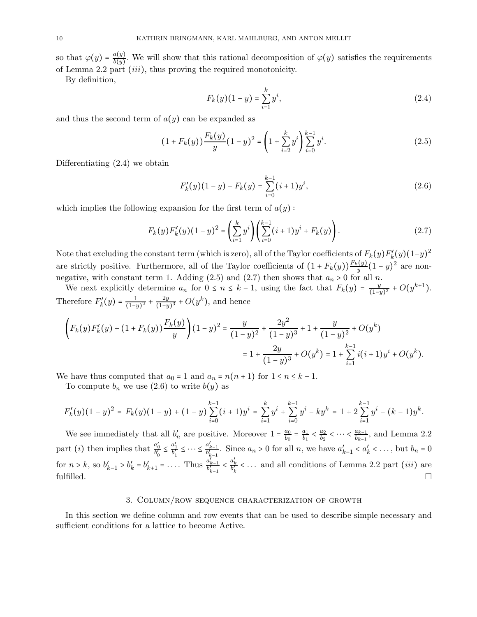so that  $\varphi(y) = \frac{a(y)}{b(y)}$  $\frac{d(y)}{b(y)}$ . We will show that this rational decomposition of  $\varphi(y)$  satisfies the requirements of Lemma 2.2 part (iii), thus proving the required monotonicity.

By definition,

$$
F_k(y)(1-y) = \sum_{i=1}^k y^i,
$$
\n(2.4)

and thus the second term of  $a(y)$  can be expanded as

$$
(1 + F_k(y))\frac{F_k(y)}{y}(1 - y)^2 = \left(1 + \sum_{i=2}^k y^i\right)\sum_{i=0}^{k-1} y^i.
$$
 (2.5)

Differentiating (2.4) we obtain

$$
F'_{k}(y)(1-y) - F_{k}(y) = \sum_{i=0}^{k-1} (i+1)y^{i},
$$
\n(2.6)

which implies the following expansion for the first term of  $a(y)$ :

$$
F_k(y)F'_k(y)(1-y)^2 = \left(\sum_{i=1}^k y^i\right) \left(\sum_{i=0}^{k-1} (i+1)y^i + F_k(y)\right). \tag{2.7}
$$

Note that excluding the constant term (which is zero), all of the Taylor coefficients of  $F_k(y)F'_k(y)(1-y)^2$ are strictly positive. Furthermore, all of the Taylor coefficients of  $(1 + F_k(y))\frac{F_k(y)}{y}(1 - y)^2$  are nonnegative, with constant term 1. Adding (2.5) and (2.7) then shows that  $a_n > 0$  for all n.

We next explicitly determine  $a_n$  for  $0 \le n \le k-1$ , using the fact that  $F_k(y) = \frac{y}{(1-y)^k}$  $\frac{y}{(1-y)^2} + O(y^{k+1}).$ Therefore  $F'_k(y) = \frac{1}{(1-y)^k}$  $\frac{1}{(1-y)^2} + \frac{2y}{(1-y)^2}$  $\frac{2y}{(1-y)^3}$  +  $O(y^k)$ , and hence

$$
\left(F_k(y)F'_k(y) + (1 + F_k(y))\frac{F_k(y)}{y}\right)(1 - y)^2 = \frac{y}{(1 - y)^2} + \frac{2y^2}{(1 - y)^3} + 1 + \frac{y}{(1 - y)^2} + O(y^k)
$$

$$
= 1 + \frac{2y}{(1 - y)^3} + O(y^k) = 1 + \sum_{i=1}^{k-1} i(i + 1)y^i + O(y^k).
$$

We have thus computed that  $a_0 = 1$  and  $a_n = n(n + 1)$  for  $1 \le n \le k - 1$ .

To compute  $b_n$  we use (2.6) to write  $b(y)$  as

$$
F'_{k}(y)(1-y)^{2} = F_{k}(y)(1-y) + (1-y)\sum_{i=0}^{k-1} (i+1)y^{i} = \sum_{i=1}^{k} y^{i} + \sum_{i=0}^{k-1} y^{i} - ky^{k} = 1 + 2\sum_{i=1}^{k-1} y^{i} - (k-1)y^{k}.
$$

We see immediately that all  $b'_n$  are positive. Moreover  $1 = \frac{a_0}{b_0}$  $\frac{a_0}{b_0} = \frac{a_1}{b_1}$  $\frac{a_1}{b_1} < \frac{a_2}{b_2}$  $\frac{a_2}{b_2}$  < ... <  $\frac{a_{k-1}}{b_{k-1}}$  $\frac{a_{k-1}}{b_{k-1}}$ , and Lemma 2.2 part (*i*) then implies that  $\frac{a'_0}{b'_0} \leq \frac{a'_1}{b'_1} \leq \cdots \leq \frac{a'_{k-1}}{b'_{k-1}}$ . Since  $a_n > 0$  for all n, we have  $a'_{k-1} < a'_{k} < \ldots$ , but  $b_n = 0$ for  $n > k$ , so  $b'_{k-1} > b'_{k} = b'_{k+1} = \ldots$  Thus  $\frac{a'_{k-1}}{b'_{k-1}} < \frac{a'_{k}}{b'_{k}} < \ldots$  and all conditions of Lemma 2.2 part *(iii)* are fulfilled.  $\Box$ 

### 3. Column/row sequence characterization of growth

In this section we define column and row events that can be used to describe simple necessary and sufficient conditions for a lattice to become Active.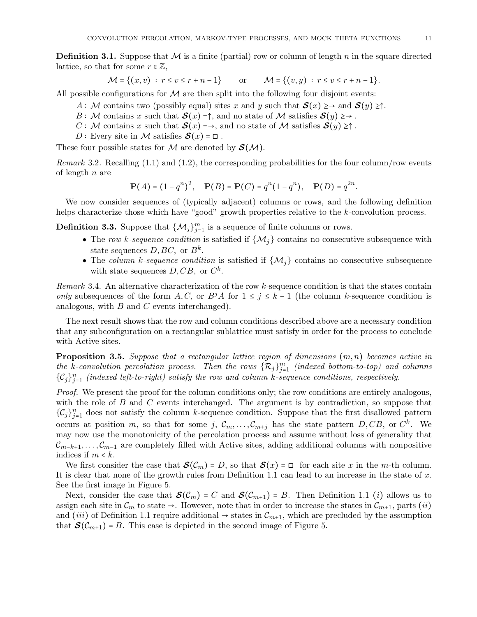**Definition 3.1.** Suppose that M is a finite (partial) row or column of length n in the square directed lattice, so that for some  $r \in \mathbb{Z}$ ,

$$
\mathcal{M} = \{(x, v) : r \le v \le r + n - 1\} \quad \text{or} \quad \mathcal{M} = \{(v, y) : r \le v \le r + n - 1\}.
$$

All possible configurations for  $M$  are then split into the following four disjoint events:

- A: M contains two (possibly equal) sites x and y such that  $\mathcal{S}(x) \geq \rightarrow$  and  $\mathcal{S}(y) \geq \uparrow$ .
- B: M contains x such that  $\mathcal{S}(x) = \uparrow$ , and no state of M satisfies  $\mathcal{S}(y) \geq \rightarrow$ .
- C : M contains x such that  $\mathcal{S}(x) \rightarrow$ , and no state of M satisfies  $\mathcal{S}(y) \geq \uparrow$ .
- D: Every site in M satisfies  $S(x) = \square$ .

These four possible states for  $M$  are denoted by  $\mathcal{S}(M)$ .

Remark 3.2. Recalling  $(1.1)$  and  $(1.2)$ , the corresponding probabilities for the four column/row events of length  $n$  are

$$
\mathbf{P}(A) = (1 - q^n)^2, \quad \mathbf{P}(B) = \mathbf{P}(C) = q^n (1 - q^n), \quad \mathbf{P}(D) = q^{2n}.
$$

We now consider sequences of (typically adjacent) columns or rows, and the following definition helps characterize those which have "good" growth properties relative to the k-convolution process.

**Definition 3.3.** Suppose that  $\{\mathcal{M}_j\}_{j=1}^m$  is a sequence of finite columns or rows.

- The row k-sequence condition is satisfied if  $\{M_j\}$  contains no consecutive subsequence with state sequences  $D, BC$ , or  $B^k$ .
- The column k-sequence condition is satisfied if  $\{M_i\}$  contains no consecutive subsequence with state sequences  $D, CB$ , or  $C^k$ .

Remark 3.4. An alternative characterization of the row k-sequence condition is that the states contain only subsequences of the form A, C, or  $B^jA$  for  $1 \leq j \leq k-1$  (the column k-sequence condition is analogous, with  $B$  and  $C$  events interchanged).

The next result shows that the row and column conditions described above are a necessary condition that any subconfiguration on a rectangular sublattice must satisfy in order for the process to conclude with Active sites.

**Proposition 3.5.** Suppose that a rectangular lattice region of dimensions  $(m, n)$  becomes active in the k-convolution percolation process. Then the rows  $\{\mathcal{R}_j\}_{j=1}^m$  (indexed bottom-to-top) and columns  $\{\mathcal{C}_j\}_{j=1}^n$  (indexed left-to-right) satisfy the row and column k-sequence conditions, respectively.

Proof. We present the proof for the column conditions only; the row conditions are entirely analogous, with the role of  $B$  and  $C$  events interchanged. The argument is by contradiction, so suppose that  $\{\mathcal{C}_j\}_{j=1}^n$  does not satisfy the column k-sequence condition. Suppose that the first disallowed pattern occurs at position m, so that for some j,  $\mathcal{C}_m, \ldots, \mathcal{C}_{m+j}$  has the state pattern  $D, CB$ , or  $C^k$ . We may now use the monotonicity of the percolation process and assume without loss of generality that  $\mathcal{C}_{m-k+1}, \ldots, \mathcal{C}_{m-1}$  are completely filled with Active sites, adding additional columns with nonpositive indices if  $m < k$ .

We first consider the case that  $\mathcal{S}(\mathcal{C}_m) = D$ , so that  $\mathcal{S}(x) = \Box$  for each site x in the m-th column. It is clear that none of the growth rules from Definition 1.1 can lead to an increase in the state of  $x$ . See the first image in Figure 5.

Next, consider the case that  $\mathcal{S}(\mathcal{C}_m) = C$  and  $\mathcal{S}(\mathcal{C}_{m+1}) = B$ . Then Definition 1.1 *(i)* allows us to assign each site in  $\mathcal{C}_m$  to state  $\rightarrow$ . However, note that in order to increase the states in  $\mathcal{C}_{m+1}$ , parts (*ii*) and (iii) of Definition 1.1 require additional  $\rightarrow$  states in  $\mathcal{C}_{m+1}$ , which are precluded by the assumption that  $\mathcal{S}(\mathcal{C}_{m+1}) = B$ . This case is depicted in the second image of Figure 5.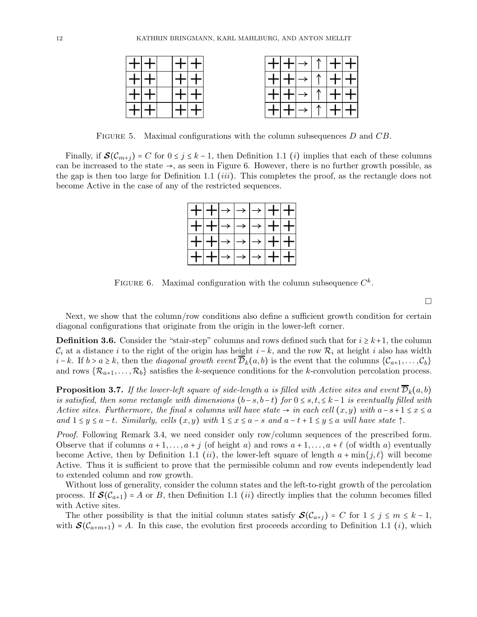| ك الكمال | │┿│┿<br>$\uparrow \uparrow$ |
|----------|-----------------------------|
|          | N                           |
|          |                             |
|          |                             |

FIGURE 5. Maximal configurations with the column subsequences D and CB.

Finally, if  $\mathcal{S}(\mathcal{C}_{m+j}) = C$  for  $0 \leq j \leq k-1$ , then Definition 1.1 *(i)* implies that each of these columns can be increased to the state  $\rightarrow$ , as seen in Figure 6. However, there is no further growth possible, as the gap is then too large for Definition 1.1 (*iii*). This completes the proof, as the rectangle does not become Active in the case of any of the restricted sequences.

| │╋┤╋╟ <i>╾</i> │ <i>→</i> │ <i>→</i> │╋╟╋║ |  |  |                        |
|--------------------------------------------|--|--|------------------------|
| │┿│┿│ <i>→</i> │ <i>→</i> │ <i>→</i> │┿│┿│ |  |  |                        |
| │┿│┿│ <i>→</i> │ <i>→</i> │→│┿│┿│          |  |  |                        |
|                                            |  |  | <b>┿</b> │┿│→│→│→│┿│┿│ |

FIGURE 6. Maximal configuration with the column subsequence  $C^k$ .

 $\Box$ 

Next, we show that the column/row conditions also define a sufficient growth condition for certain diagonal configurations that originate from the origin in the lower-left corner.

**Definition 3.6.** Consider the "stair-step" columns and rows defined such that for  $i \geq k+1$ , the column  $\mathcal{C}_i$  at a distance i to the right of the origin has height  $i - k$ , and the row  $\mathcal{R}_i$  at height i also has width *i* − k. If  $b > a \ge k$ , then the *diagonal growth event*  $\overline{\mathcal{D}}_k(a, b)$  is the event that the columns  $\{\mathcal{C}_{a+1}, \ldots, \mathcal{C}_b\}$ and rows  $\{R_{a+1}, \ldots, R_b\}$  satisfies the k-sequence conditions for the k-convolution percolation process.

**Proposition 3.7.** If the lower-left square of side-length a is filled with Active sites and event  $\overline{\mathcal{D}}_k(a, b)$ is satisfied, then some rectangle with dimensions  $(b-s, b-t)$  for  $0 \leq s, t \leq k-1$  is eventually filled with Active sites. Furthermore, the final s columns will have state  $\rightarrow$  in each cell  $(x, y)$  with  $a-s+1 \le x \le a$ and  $1 \le y \le a-t$ . Similarly, cells  $(x, y)$  with  $1 \le x \le a-s$  and  $a-t+1 \le y \le a$  will have state  $\uparrow$ .

Proof. Following Remark 3.4, we need consider only row/column sequences of the prescribed form. Observe that if columns  $a+1,\ldots,a+j$  (of height a) and rows  $a+1,\ldots,a+\ell$  (of width a) eventually become Active, then by Definition 1.1 (ii), the lower-left square of length  $a + \min\{j, \ell\}$  will become Active. Thus it is sufficient to prove that the permissible column and row events independently lead to extended column and row growth.

Without loss of generality, consider the column states and the left-to-right growth of the percolation process. If  $\mathcal{S}(\mathcal{C}_{a+1}) = A$  or B, then Definition 1.1 *(ii)* directly implies that the column becomes filled with Active sites.

The other possibility is that the initial column states satisfy  $\mathcal{S}(\mathcal{C}_{a+j}) = C$  for  $1 \leq j \leq m \leq k-1$ , with  $\mathcal{S}(\mathcal{C}_{a+m+1}) = A$ . In this case, the evolution first proceeds according to Definition 1.1 *(i)*, which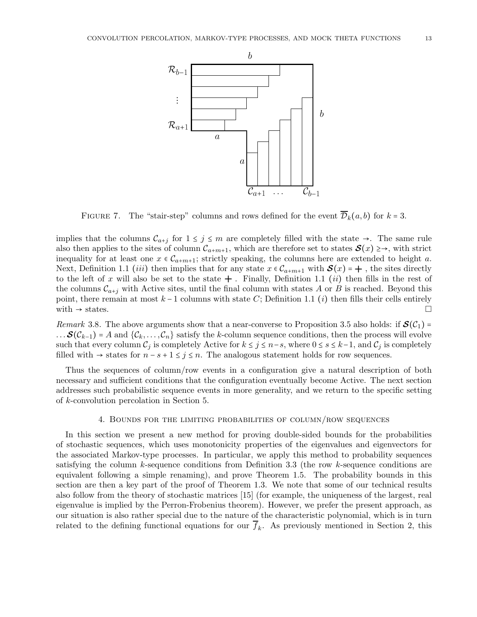

FIGURE 7. The "stair-step" columns and rows defined for the event  $\overline{\mathcal{D}}_k(a, b)$  for  $k = 3$ .

implies that the columns  $\mathcal{C}_{a+j}$  for  $1 \leq j \leq m$  are completely filled with the state  $\rightarrow$ . The same rule also then applies to the sites of column  $\mathcal{C}_{a+m+1}$ , which are therefore set to states  $\mathcal{S}(x) \geq \rightarrow$ , with strict inequality for at least one  $x \in C_{a+m+1}$ ; strictly speaking, the columns here are extended to height a. Next, Definition 1.1 (iii) then implies that for any state  $x \in C_{a+m+1}$  with  $\mathcal{S}(x) = +$ , the sites directly to the left of x will also be set to the state  $+$  . Finally, Definition 1.1 *(ii)* then fills in the rest of the columns  $\mathcal{C}_{a+i}$  with Active sites, until the final column with states A or B is reached. Beyond this point, there remain at most  $k-1$  columns with state C; Definition 1.1 (*i*) then fills their cells entirely with  $\rightarrow$  states. with  $\rightarrow$  states.

Remark 3.8. The above arguments show that a near-converse to Proposition 3.5 also holds: if  $\mathcal{S}(\mathcal{C}_1)$  = ...  $\mathcal{S}(\mathcal{C}_{k-1})$  = A and  $\{\mathcal{C}_k,\ldots,\mathcal{C}_n\}$  satisfy the k-column sequence conditions, then the process will evolve such that every column  $\mathcal{C}_j$  is completely Active for  $k \leq j \leq n-s$ , where  $0 \leq s \leq k-1$ , and  $\mathcal{C}_j$  is completely filled with  $\rightarrow$  states for  $n - s + 1 \leq j \leq n$ . The analogous statement holds for row sequences.

Thus the sequences of column/row events in a configuration give a natural description of both necessary and sufficient conditions that the configuration eventually become Active. The next section addresses such probabilistic sequence events in more generality, and we return to the specific setting of k-convolution percolation in Section 5.

#### 4. Bounds for the limiting probabilities of column/row sequences

In this section we present a new method for proving double-sided bounds for the probabilities of stochastic sequences, which uses monotonicity properties of the eigenvalues and eigenvectors for the associated Markov-type processes. In particular, we apply this method to probability sequences satisfying the column  $k$ -sequence conditions from Definition 3.3 (the row  $k$ -sequence conditions are equivalent following a simple renaming), and prove Theorem 1.5. The probability bounds in this section are then a key part of the proof of Theorem 1.3. We note that some of our technical results also follow from the theory of stochastic matrices [15] (for example, the uniqueness of the largest, real eigenvalue is implied by the Perron-Frobenius theorem). However, we prefer the present approach, as our situation is also rather special due to the nature of the characteristic polynomial, which is in turn related to the defining functional equations for our  $f_k$ . As previously mentioned in Section 2, this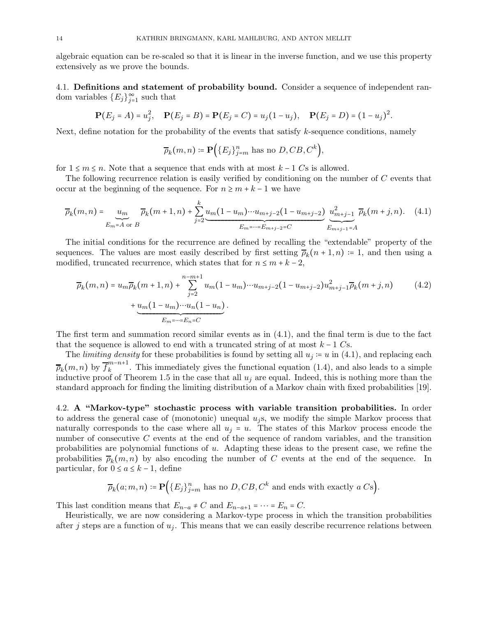algebraic equation can be re-scaled so that it is linear in the inverse function, and we use this property extensively as we prove the bounds.

4.1. Definitions and statement of probability bound. Consider a sequence of independent random variables  $\{E_j\}_{j=1}^{\infty}$  such that

$$
\mathbf{P}(E_j = A) = u_j^2, \quad \mathbf{P}(E_j = B) = \mathbf{P}(E_j = C) = u_j(1 - u_j), \quad \mathbf{P}(E_j = D) = (1 - u_j)^2.
$$

Next, define notation for the probability of the events that satisfy k-sequence conditions, namely

 $\overline{\rho}_k(m,n) \coloneqq \mathbf{P} \Big( \{E_j\}_{j=m}^n \text{ has no } D, CB, C^k \Big),$ 

for  $1 \leq m \leq n$ . Note that a sequence that ends with at most  $k - 1$  Cs is allowed.

The following recurrence relation is easily verified by conditioning on the number of C events that occur at the beginning of the sequence. For  $n \geq m + k - 1$  we have

$$
\overline{\rho}_k(m,n) = \underbrace{u_m}_{E_m = A \text{ or } B} \overline{\rho}_k(m+1,n) + \sum_{j=2}^k \underbrace{u_m(1-u_m)\cdots u_{m+j-2}(1-u_{m+j-2})}_{E_m = \cdots = E_{m+j-2} = C} \underbrace{u_{m+j-1}^2}_{E_{m+j-1} = A} \overline{\rho}_k(m+j,n). \tag{4.1}
$$

The initial conditions for the recurrence are defined by recalling the "extendable" property of the sequences. The values are most easily described by first setting  $\overline{\rho}_k(n+1,n) = 1$ , and then using a modified, truncated recurrence, which states that for  $n \leq m + k - 2$ ,

$$
\overline{\rho}_k(m,n) = u_m \overline{\rho}_k(m+1,n) + \sum_{j=2}^{n-m+1} u_m(1-u_m) \cdots u_{m+j-2} (1-u_{m+j-2}) u_{m+j-1}^2 \overline{\rho}_k(m+j,n) \qquad (4.2)
$$

$$
+ \underbrace{u_m(1-u_m) \cdots u_n (1-u_n)}_{E_m = \cdots = E_n = C}.
$$

The first term and summation record similar events as in (4.1), and the final term is due to the fact that the sequence is allowed to end with a truncated string of at most  $k - 1$  Cs.

The *limiting density* for these probabilities is found by setting all  $u_j := u$  in (4.1), and replacing each  $\overline{\rho}_k(m,n)$  by  $\overline{f}_k^{m-n+1}$  $\binom{n}{k}$ . This immediately gives the functional equation (1.4), and also leads to a simple inductive proof of Theorem 1.5 in the case that all  $u_i$  are equal. Indeed, this is nothing more than the standard approach for finding the limiting distribution of a Markov chain with fixed probabilities [19].

4.2. A "Markov-type" stochastic process with variable transition probabilities. In order to address the general case of (monotonic) unequal  $u_j$ s, we modify the simple Markov process that naturally corresponds to the case where all  $u_j = u$ . The states of this Markov process encode the number of consecutive C events at the end of the sequence of random variables, and the transition probabilities are polynomial functions of u. Adapting these ideas to the present case, we refine the probabilities  $\overline{\rho}_k(m,n)$  by also encoding the number of C events at the end of the sequence. In particular, for  $0 \le a \le k-1$ , define

$$
\overline{\rho}_k(a; m, n) \coloneqq \mathbf{P}(\{E_j\}_{j=m}^n \text{ has no } D, CB, C^k \text{ and ends with exactly } a Cs).
$$

This last condition means that  $E_{n-a} \neq C$  and  $E_{n-a+1} = \cdots = E_n = C$ .

Heuristically, we are now considering a Markov-type process in which the transition probabilities after j steps are a function of  $u_i$ . This means that we can easily describe recurrence relations between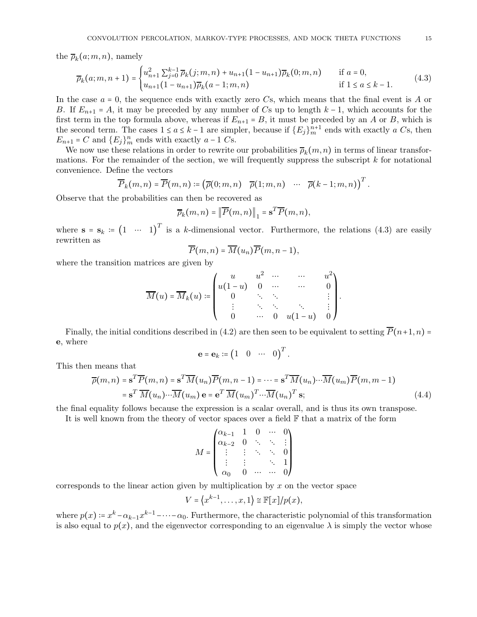the  $\overline{\rho}_k(a;m,n)$ , namely

$$
\overline{\rho}_k(a; m, n+1) = \begin{cases} u_{n+1}^2 \sum_{j=0}^{k-1} \overline{\rho}_k(j; m, n) + u_{n+1} (1 - u_{n+1}) \overline{\rho}_k(0; m, n) & \text{if } a = 0, \\ u_{n+1} (1 - u_{n+1}) \overline{\rho}_k(a - 1; m, n) & \text{if } 1 \le a \le k - 1. \end{cases}
$$
(4.3)

In the case  $a = 0$ , the sequence ends with exactly zero Cs, which means that the final event is A or B. If  $E_{n+1} = A$ , it may be preceded by any number of Cs up to length  $k-1$ , which accounts for the first term in the top formula above, whereas if  $E_{n+1} = B$ , it must be preceded by an A or B, which is the second term. The cases  $1 \le a \le k-1$  are simpler, because if  ${E_j}_{m}^{n+1}$  ends with exactly a Cs, then  $E_{n+1} = C$  and  $\{E_j\}_{m}^n$  ends with exactly  $a-1$  Cs.

We now use these relations in order to rewrite our probabilities  $\overline{\rho}_k(m,n)$  in terms of linear transformations. For the remainder of the section, we will frequently suppress the subscript  $k$  for notational convenience. Define the vectors

$$
\overline{P}_k(m,n) = \overline{P}(m,n) := (\overline{\rho}(0;m,n) \quad \overline{\rho}(1;m,n) \quad \cdots \quad \overline{\rho}(k-1;m,n))^{T}.
$$

Observe that the probabilities can then be recovered as

$$
\overline{\rho}_k(m,n) = \left\|\overline{P}(m,n)\right\|_1 = \mathbf{s}^T \overline{P}(m,n),
$$

where  $\mathbf{s} = \mathbf{s}_k := (1 \cdots 1)^T$  is a k-dimensional vector. Furthermore, the relations (4.3) are easily rewritten as

$$
\overline{P}(m,n)=\overline{M}(u_n)\overline{P}(m,n-1),
$$

where the transition matrices are given by

$$
\overline{M}(u) = \overline{M}_k(u) := \begin{pmatrix} u & u^2 & \cdots & \cdots & u^2 \\ u(1-u) & 0 & \cdots & \cdots & 0 \\ 0 & \ddots & \ddots & & \vdots \\ \vdots & \ddots & \ddots & \ddots & \vdots \\ 0 & \cdots & 0 & u(1-u) & 0 \end{pmatrix}.
$$

Finally, the initial conditions described in (4.2) are then seen to be equivalent to setting  $\overline{P}(n+1, n)$  = e, where

$$
\mathbf{e} = \mathbf{e}_k := \begin{pmatrix} 1 & 0 & \cdots & 0 \end{pmatrix}^T.
$$

This then means that

$$
\overline{\rho}(m,n) = \mathbf{s}^T \overline{P}(m,n) = \mathbf{s}^T \overline{M}(u_n) \overline{P}(m,n-1) = \dots = \mathbf{s}^T \overline{M}(u_n) \dots \overline{M}(u_m) \overline{P}(m,m-1)
$$

$$
= \mathbf{s}^T \overline{M}(u_n) \dots \overline{M}(u_m) \mathbf{e} = \mathbf{e}^T \overline{M}(u_m)^T \dots \overline{M}(u_n)^T \mathbf{s};
$$
(4.4)

the final equality follows because the expression is a scalar overall, and is thus its own transpose.

It is well known from the theory of vector spaces over a field  $\mathbb F$  that a matrix of the form

$$
M = \begin{pmatrix} \alpha_{k-1} & 1 & 0 & \cdots & 0 \\ \alpha_{k-2} & 0 & \ddots & \ddots & \vdots \\ \vdots & \vdots & \ddots & \ddots & 0 \\ \vdots & \vdots & & \ddots & 1 \\ \alpha_0 & 0 & \cdots & \cdots & 0 \end{pmatrix}
$$

corresponds to the linear action given by multiplication by  $x$  on the vector space

$$
V = \langle x^{k-1}, \ldots, x, 1 \rangle \cong \mathbb{F}[x]/p(x),
$$

where  $p(x) = x^k - \alpha_{k-1}x^{k-1} - \cdots - \alpha_0$ . Furthermore, the characteristic polynomial of this transformation is also equal to  $p(x)$ , and the eigenvector corresponding to an eigenvalue  $\lambda$  is simply the vector whose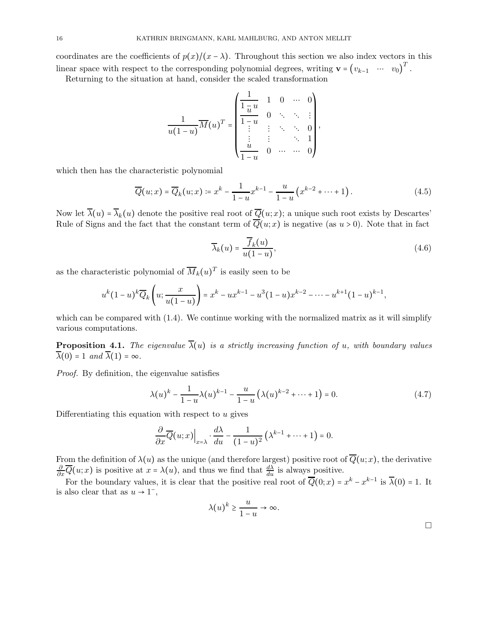coordinates are the coefficients of  $p(x)/(x - \lambda)$ . Throughout this section we also index vectors in this linear space with respect to the corresponding polynomial degrees, writing  $\mathbf{v} = (v_{k-1} \cdots v_0)^T$ .

Returning to the situation at hand, consider the scaled transformation

$$
\frac{1}{u(1-u)}\overline{M}(u)^{T} = \begin{pmatrix}\n\frac{1}{1-\overline{u}} & 1 & 0 & \cdots & 0 \\
\frac{1}{1-\overline{u}} & 0 & \ddots & \ddots & \vdots \\
\vdots & \vdots & \ddots & \ddots & 0 \\
\frac{u}{1-u} & 0 & \cdots & \cdots & 0\n\end{pmatrix},
$$

which then has the characteristic polynomial

$$
\overline{Q}(u;x) = \overline{Q}_k(u;x) \coloneqq x^k - \frac{1}{1-u} x^{k-1} - \frac{u}{1-u} \left( x^{k-2} + \dots + 1 \right). \tag{4.5}
$$

Now let  $\overline{\lambda}(u) = \overline{\lambda}_k(u)$  denote the positive real root of  $\overline{Q}(u; x)$ ; a unique such root exists by Descartes' Rule of Signs and the fact that the constant term of  $\overline{Q}(u;x)$  is negative (as  $u > 0$ ). Note that in fact

$$
\overline{\lambda}_k(u) = \frac{\overline{f}_k(u)}{u(1-u)},
$$
\n(4.6)

as the characteristic polynomial of  $\overline{M}_k(u)^T$  is easily seen to be

$$
u^{k}(1-u)^{k}\overline{Q}_{k}\left(u;\frac{x}{u(1-u)}\right)=x^{k}-ux^{k-1}-u^{3}(1-u)x^{k-2}-\cdots-u^{k+1}(1-u)^{k-1},
$$

which can be compared with  $(1.4)$ . We continue working with the normalized matrix as it will simplify various computations.

**Proposition 4.1.** The eigenvalue  $\overline{\lambda}(u)$  is a strictly increasing function of u, with boundary values  $\overline{\lambda}(0) = 1$  and  $\overline{\lambda}(1) = \infty$ .

Proof. By definition, the eigenvalue satisfies

$$
\lambda(u)^{k} - \frac{1}{1-u}\lambda(u)^{k-1} - \frac{u}{1-u}\left(\lambda(u)^{k-2} + \dots + 1\right) = 0.
$$
 (4.7)

Differentiating this equation with respect to  $u$  gives

$$
\frac{\partial}{\partial x}\overline{Q}(u;x)\Big|_{x=\lambda}\cdot\frac{d\lambda}{du}-\frac{1}{(1-u)^2}\left(\lambda^{k-1}+\cdots+1\right)=0.
$$

From the definition of  $\lambda(u)$  as the unique (and therefore largest) positive root of  $\overline{Q}(u;x)$ , the derivative  $\frac{\partial}{\partial x}\overline{Q}(u;x)$  is positive at  $x = \lambda(u)$ , and thus we find that  $\frac{d\lambda}{du}$  is always positive.

For the boundary values, it is clear that the positive real root of  $\overline{Q}(0; x) = x^k - x^{k-1}$  is  $\overline{\lambda}(0) = 1$ . It is also clear that as  $u \to 1^{-}$ ,

$$
\lambda(u)^k \ge \frac{u}{1-u} \to \infty.
$$

 $\Box$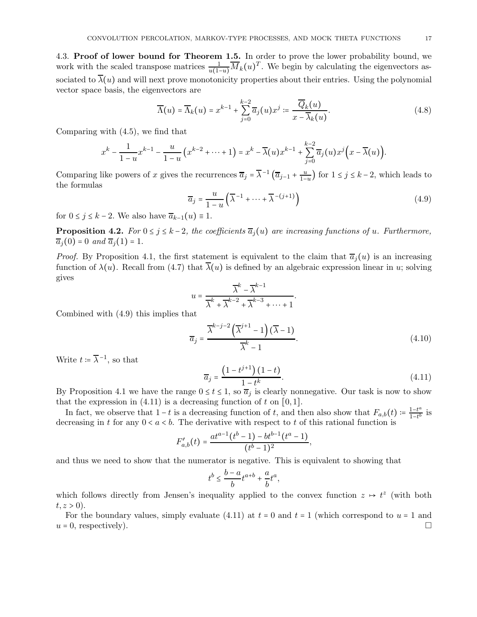4.3. Proof of lower bound for Theorem 1.5. In order to prove the lower probability bound, we work with the scaled transpose matrices  $\frac{1}{u(1-u)}\overline{M}_k(u)^T$ . We begin by calculating the eigenvectors associated to  $\overline{\lambda}(u)$  and will next prove monotonicity properties about their entries. Using the polynomial vector space basis, the eigenvectors are

$$
\overline{\Lambda}(u) = \overline{\Lambda}_k(u) = x^{k-1} + \sum_{j=0}^{k-2} \overline{a}_j(u) x^j := \frac{\overline{Q}_k(u)}{x - \overline{\lambda}_k(u)}.
$$
\n(4.8)

Comparing with (4.5), we find that

$$
x^{k} - \frac{1}{1-u}x^{k-1} - \frac{u}{1-u}\left(x^{k-2} + \dots + 1\right) = x^{k} - \overline{\lambda}(u)x^{k-1} + \sum_{j=0}^{k-2} \overline{a}_{j}(u)x^{j}\left(x - \overline{\lambda}(u)\right).
$$

Comparing like powers of x gives the recurrences  $\overline{a}_j = \overline{\lambda}^{-1} \left( \overline{a}_{j-1} + \frac{u}{1-u} \right)$  for  $1 \le j \le k-2$ , which leads to the formulas

$$
\overline{a}_j = \frac{u}{1-u} \left( \overline{\lambda}^{-1} + \dots + \overline{\lambda}^{-(j+1)} \right)
$$
(4.9)

for  $0 \le j \le k - 2$ . We also have  $\overline{a}_{k-1}(u) \equiv 1$ .

**Proposition 4.2.** For  $0 \le j \le k-2$ , the coefficients  $\overline{a}_j(u)$  are increasing functions of u. Furthermore,  $\overline{a}_i(0) = 0$  and  $\overline{a}_i(1) = 1$ .

*Proof.* By Proposition 4.1, the first statement is equivalent to the claim that  $\overline{a}_i(u)$  is an increasing function of  $\lambda(u)$ . Recall from (4.7) that  $\overline{\lambda}(u)$  is defined by an algebraic expression linear in u; solving gives

$$
u = \frac{\overline{\lambda}^k - \overline{\lambda}^{k-1}}{\overline{\lambda}^k + \overline{\lambda}^{k-2} + \overline{\lambda}^{k-3} + \dots + 1}
$$

Combined with (4.9) this implies that

$$
\overline{a}_{j} = \frac{\overline{\lambda}^{k-j-2} \left( \overline{\lambda}^{j+1} - 1 \right) (\overline{\lambda} - 1)}{\overline{\lambda}^{k} - 1}.
$$
\n(4.10)

.

Write  $t \coloneqq \overline{\lambda}^{-1}$ , so that

$$
\overline{a}_j = \frac{\left(1 - t^{j+1}\right)\left(1 - t\right)}{1 - t^k}.\tag{4.11}
$$

By Proposition 4.1 we have the range  $0 \le t \le 1$ , so  $\overline{a}_j$  is clearly nonnegative. Our task is now to show that the expression in  $(4.11)$  is a decreasing function of t on  $[0, 1]$ .

In fact, we observe that  $1-t$  is a decreasing function of t, and then also show that  $F_{a,b}(t) = \frac{1-t^a}{1-t^b}$  $\frac{1-t^{\omega}}{1-t^b}$  is decreasing in t for any  $0 < a < b$ . The derivative with respect to t of this rational function is

$$
F'_{a,b}(t) = \frac{at^{a-1}(t^b - 1) - bt^{b-1}(t^a - 1)}{(t^b - 1)^2},
$$

and thus we need to show that the numerator is negative. This is equivalent to showing that

$$
t^b \leq \frac{b-a}{b} t^{a+b} + \frac{a}{b} t^a,
$$

which follows directly from Jensen's inequality applied to the convex function  $z \mapsto t^z$  (with both  $t, z > 0$ ).

For the boundary values, simply evaluate (4.11) at  $t = 0$  and  $t = 1$  (which correspond to  $u = 1$  and  $u = 0$ , respectively).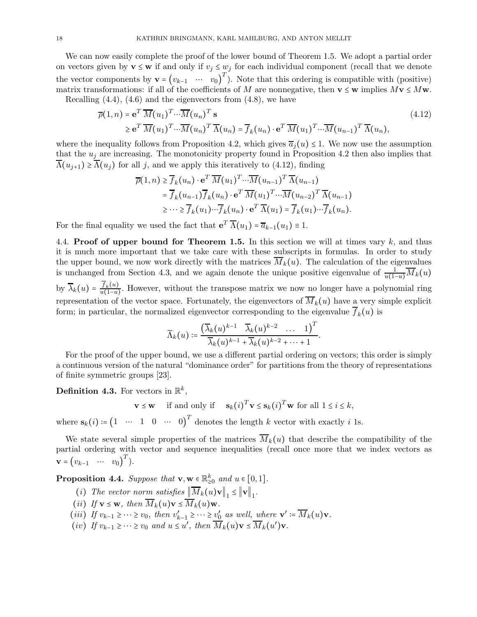We can now easily complete the proof of the lower bound of Theorem 1.5. We adopt a partial order on vectors given by  $\mathbf{v} \leq \mathbf{w}$  if and only if  $v_j \leq w_j$  for each individual component (recall that we denote the vector components by  $\mathbf{v} = (v_{k-1} \cdots v_0)^T$ . Note that this ordering is compatible with (positive) matrix transformations: if all of the coefficients of M are nonnegative, then  $\mathbf{v} \leq \mathbf{w}$  implies  $M\mathbf{v} \leq M\mathbf{w}$ . Recalling  $(4.4)$ ,  $(4.6)$  and the eigenvectors from  $(4.8)$ , we have

$$
\overline{\rho}(1,n) = \mathbf{e}^T \overline{M}(u_1)^T \cdots \overline{M}(u_n)^T \mathbf{s} \tag{4.12}
$$
\n
$$
\geq \mathbf{e}^T \overline{M}(u_1)^T \cdots \overline{M}(u_n)^T \overline{\Lambda}(u_n) = \overline{f}_k(u_n) \cdot \mathbf{e}^T \overline{M}(u_1)^T \cdots \overline{M}(u_{n-1})^T \overline{\Lambda}(u_n),
$$

where the inequality follows from Proposition 4.2, which gives  $\overline{a}_i(u) \leq 1$ . We now use the assumption that the  $u_i$  are increasing. The monotonicity property found in Proposition 4.2 then also implies that  $\overline{\Lambda}(u_{i+1}) \geq \overline{\Lambda}(u_i)$  for all j, and we apply this iteratively to (4.12), finding

$$
\overline{\rho}(1,n) \geq \overline{f}_k(u_n) \cdot \mathbf{e}^T \overline{M}(u_1)^T \cdots \overline{M}(u_{n-1})^T \overline{\Lambda}(u_{n-1})
$$
  
\n
$$
= \overline{f}_k(u_{n-1}) \overline{f}_k(u_n) \cdot \mathbf{e}^T \overline{M}(u_1)^T \cdots \overline{M}(u_{n-2})^T \overline{\Lambda}(u_{n-1})
$$
  
\n
$$
\geq \cdots \geq \overline{f}_k(u_1) \cdots \overline{f}_k(u_n) \cdot \mathbf{e}^T \overline{\Lambda}(u_1) = \overline{f}_k(u_1) \cdots \overline{f}_k(u_n).
$$

For the final equality we used the fact that  $e^T \overline{\Lambda}(u_1) = \overline{a}_{k-1}(u_1) \equiv 1$ .

4.4. Proof of upper bound for Theorem 1.5. In this section we will at times vary  $k$ , and thus it is much more important that we take care with these subscripts in formulas. In order to study the upper bound, we now work directly with the matrices  $\overline{M}_k(u)$ . The calculation of the eigenvalues is unchanged from Section 4.3, and we again denote the unique positive eigenvalue of  $\frac{1}{u(1-u)}\overline{M}_k(u)$ by  $\overline{\lambda}_k(u) = \frac{f_k(u)}{u(1-u)}$ . However, without the transpose matrix we now no longer have a polynomial ring representation of the vector space. Fortunately, the eigenvectors of  $\overline{M}_k(u)$  have a very simple explicit form; in particular, the normalized eigenvector corresponding to the eigenvalue  $f_k(u)$  is

$$
\widetilde{\Lambda}_k(u) \coloneqq \frac{\left(\overline{\lambda}_k(u)^{k-1} \quad \overline{\lambda}_k(u)^{k-2} \quad \dots \quad 1\right)^T}{\overline{\lambda}_k(u)^{k-1} + \overline{\lambda}_k(u)^{k-2} + \dots + 1}.
$$

For the proof of the upper bound, we use a different partial ordering on vectors; this order is simply a continuous version of the natural "dominance order" for partitions from the theory of representations of finite symmetric groups [23].

Definition 4.3. For vectors in  $\mathbb{R}^k$ ,

$$
\mathbf{v} \le \mathbf{w}
$$
 if and only if  $\mathbf{s}_k(i)^T \mathbf{v} \le \mathbf{s}_k(i)^T \mathbf{w}$  for all  $1 \le i \le k$ ,

where  $\mathbf{s}_k(i) \coloneqq \begin{pmatrix} 1 & \cdots & 1 & 0 & \cdots & 0 \end{pmatrix}^T$  denotes the length k vector with exactly i 1s.

We state several simple properties of the matrices  $\overline{M}_k(u)$  that describe the compatibility of the partial ordering with vector and sequence inequalities (recall once more that we index vectors as  $\mathbf{v} = (v_{k-1} \quad \cdots \quad v_0)^T$ ).

**Proposition 4.4.** Suppose that  $\mathbf{v}, \mathbf{w} \in \mathbb{R}^k_{\geq 0}$  and  $u \in [0, 1]$ .

- (i) The vector norm satisfies  $||M_k(u)\mathbf{v}||_1 \le ||\mathbf{v}||_1$ .
- (ii) If  $\mathbf{v} \leq \mathbf{w}$ , then  $\overline{M}_k(u)\mathbf{v} \leq \overline{M}_k(u)\mathbf{w}$ .
- (iii) If  $v_{k-1} \geq \cdots \geq v_0$ , then  $v'_{k-1} \geq \cdots \geq v'_0$  $\frac{0}{0}$  as well, where  $\mathbf{v}' \coloneqq \overline{M}_k(u)\mathbf{v}$ .
- (iv) If  $v_{k-1} \geq \cdots \geq v_0$  and  $u \leq u'$ , then  $\overline{M}_k(u) \mathbf{v} \leq \overline{M}_k(u') \mathbf{v}$ .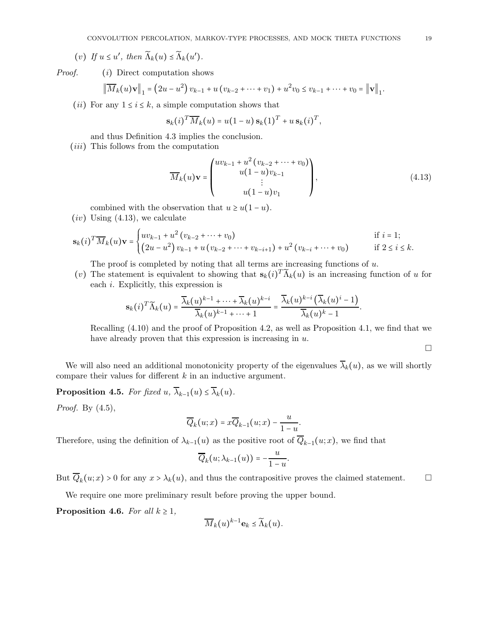(v) If 
$$
u \leq u'
$$
, then  $\widetilde{\Lambda}_k(u) \leq \widetilde{\Lambda}_k(u')$ .

Proof. (i) Direct computation shows

$$
\left\| \overline{M}_k(u) \mathbf{v} \right\|_1 = \left( 2u - u^2 \right) v_{k-1} + u \left( v_{k-2} + \dots + v_1 \right) + u^2 v_0 \leq v_{k-1} + \dots + v_0 = \left\| \mathbf{v} \right\|_1.
$$

(*ii*) For any  $1 \le i \le k$ , a simple computation shows that

$$
\mathbf{s}_k(i)^T \overline{M}_k(u) = u(1-u) \, \mathbf{s}_k(1)^T + u \, \mathbf{s}_k(i)^T,
$$

and thus Definition 4.3 implies the conclusion.

(*iii*) This follows from the computation

$$
\overline{M}_k(u)\mathbf{v} = \begin{pmatrix} uv_{k-1} + u^2 (v_{k-2} + \dots + v_0) \\ u(1-u)v_{k-1} \\ \vdots \\ u(1-u)v_1 \end{pmatrix},
$$
\n(4.13)

combined with the observation that  $u \geq u(1-u)$ .

 $(iv)$  Using  $(4.13)$ , we calculate

$$
\mathbf{s}_{k}(i)^{T} \overline{M}_{k}(u) \mathbf{v} = \begin{cases} uv_{k-1} + u^{2} (v_{k-2} + \dots + v_{0}) & \text{if } i = 1; \\ (2u - u^{2}) v_{k-1} + u (v_{k-2} + \dots + v_{k-i+1}) + u^{2} (v_{k-i} + \dots + v_{0}) & \text{if } 2 \leq i \leq k. \end{cases}
$$

The proof is completed by noting that all terms are increasing functions of  $u$ .

(v) The statement is equivalent to showing that  $\mathbf{s}_k(i)^T \widetilde{\Lambda}_k(u)$  is an increasing function of u for each i. Explicitly, this expression is

$$
\mathbf{s}_k(i)^T \widetilde{\Lambda}_k(u) = \frac{\overline{\lambda}_k(u)^{k-1} + \dots + \overline{\lambda}_k(u)^{k-i}}{\overline{\lambda}_k(u)^{k-1} + \dots + 1} = \frac{\overline{\lambda}_k(u)^{k-i} \left( \overline{\lambda}_k(u)^i - 1 \right)}{\overline{\lambda}_k(u)^k - 1}.
$$

Recalling (4.10) and the proof of Proposition 4.2, as well as Proposition 4.1, we find that we have already proven that this expression is increasing in  $u$ .

 $\Box$ 

We will also need an additional monotonicity property of the eigenvalues  $\overline{\lambda}_k(u)$ , as we will shortly compare their values for different k in an inductive argument.

**Proposition 4.5.** For fixed u,  $\overline{\lambda}_{k-1}(u) \leq \overline{\lambda}_k(u)$ .

*Proof.* By  $(4.5)$ ,

$$
\overline{Q}_k(u;x) = x\overline{Q}_{k-1}(u;x) - \frac{u}{1-u}.
$$

Therefore, using the definition of  $\lambda_{k-1}(u)$  as the positive root of  $Q_{k-1}(u;x)$ , we find that

$$
\overline{Q}_k(u;\lambda_{k-1}(u))=-\frac{u}{1-u}.
$$

But  $\overline{Q}_k(u; x) > 0$  for any  $x > \lambda_k(u)$ , and thus the contrapositive proves the claimed statement.  $\Box$ 

We require one more preliminary result before proving the upper bound.

**Proposition 4.6.** For all  $k \geq 1$ ,

$$
\overline{M}_k(u)^{k-1} \mathbf{e}_k \leq \widetilde{\Lambda}_k(u).
$$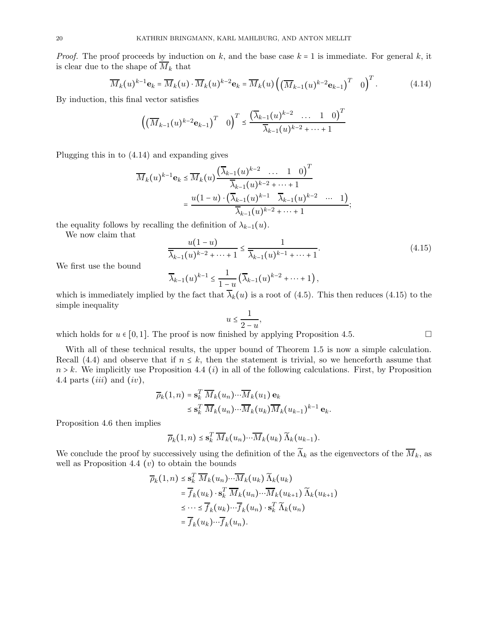*Proof.* The proof proceeds by induction on k, and the base case  $k = 1$  is immediate. For general k, it is clear due to the shape of  $\overline{M}_k$  that

$$
\overline{M}_k(u)^{k-1} \mathbf{e}_k = \overline{M}_k(u) \cdot \overline{M}_k(u)^{k-2} \mathbf{e}_k = \overline{M}_k(u) \left( \left( \overline{M}_{k-1}(u)^{k-2} \mathbf{e}_{k-1} \right)^T \right)^T. \tag{4.14}
$$

By induction, this final vector satisfies

$$
\left( \left( \overline{M}_{k-1}(u)^{k-2} \mathbf{e}_{k-1} \right)^T \quad 0 \right)^T \le \frac{\left( \overline{\lambda}_{k-1}(u)^{k-2} \quad \dots \quad 1 \quad 0 \right)^T}{\overline{\lambda}_{k-1}(u)^{k-2} + \dots + 1}
$$

Plugging this in to (4.14) and expanding gives

$$
\overline{M}_k(u)^{k-1} \mathbf{e}_k \le \overline{M}_k(u) \frac{(\overline{\lambda}_{k-1}(u)^{k-2} \ \dots \ 1 \ 0)^T}{\overline{\lambda}_{k-1}(u)^{k-2} + \dots + 1}
$$

$$
= \frac{u(1-u) \cdot (\overline{\lambda}_{k-1}(u)^{k-1} \ \overline{\lambda}_{k-1}(u)^{k-2} \ \dots \ 1)}{\overline{\lambda}_{k-1}(u)^{k-2} + \dots + 1};
$$

the equality follows by recalling the definition of  $\lambda_{k-1}(u)$ .

We now claim that

$$
\frac{u(1-u)}{\overline{\lambda}_{k-1}(u)^{k-2}+\dots+1} \le \frac{1}{\overline{\lambda}_{k-1}(u)^{k-1}+\dots+1}.\tag{4.15}
$$

We first use the bound

$$
\overline{\lambda}_{k-1}(u)^{k-1} \leq \frac{1}{1-u} \left( \overline{\lambda}_{k-1}(u)^{k-2} + \dots + 1 \right),
$$

which is immediately implied by the fact that  $\lambda_k(u)$  is a root of (4.5). This then reduces (4.15) to the simple inequality

$$
u \le \frac{1}{2-u},
$$

which holds for  $u \in [0, 1]$ . The proof is now finished by applying Proposition 4.5.

With all of these technical results, the upper bound of Theorem 1.5 is now a simple calculation. Recall (4.4) and observe that if  $n \leq k$ , then the statement is trivial, so we henceforth assume that  $n > k$ . We implicitly use Proposition 4.4 (*i*) in all of the following calculations. First, by Proposition 4.4 parts *(iii)* and *(iv)*,

$$
\overline{\rho}_k(1,n) = \mathbf{s}_k^T \, \overline{M}_k(u_n) \cdots \overline{M}_k(u_1) \, \mathbf{e}_k
$$
  
\$\leq \mathbf{s}\_k^T \, \overline{M}\_k(u\_n) \cdots \overline{M}\_k(u\_k) \overline{M}\_k(u\_{k-1})^{k-1} \, \mathbf{e}\_k\$.

Proposition 4.6 then implies

$$
\overline{\rho}_k(1,n) \leq \mathbf{s}_k^T \, \overline{M}_k(u_n) \cdots \overline{M}_k(u_k) \, \widetilde{\Lambda}_k(u_{k-1}).
$$

We conclude the proof by successively using the definition of the  $\widetilde{\Lambda}_k$  as the eigenvectors of the  $\overline{M}_k$ , as well as Proposition 4.4  $(v)$  to obtain the bounds

$$
\overline{\rho}_k(1,n) \leq \mathbf{s}_k^T \overline{M}_k(u_n) \cdots \overline{M}_k(u_k) \widetilde{\Lambda}_k(u_k)
$$
\n
$$
= \overline{f}_k(u_k) \cdot \mathbf{s}_k^T \overline{M}_k(u_n) \cdots \overline{M}_k(u_{k+1}) \widetilde{\Lambda}_k(u_{k+1})
$$
\n
$$
\leq \cdots \leq \overline{f}_k(u_k) \cdots \overline{f}_k(u_n) \cdot \mathbf{s}_k^T \widetilde{\Lambda}_k(u_n)
$$
\n
$$
= \overline{f}_k(u_k) \cdots \overline{f}_k(u_n).
$$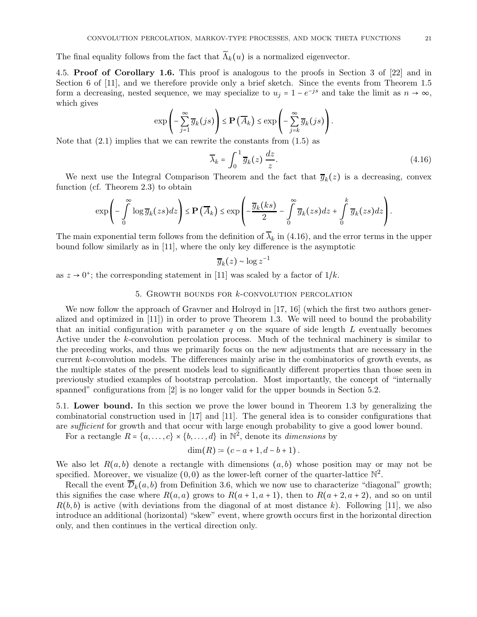The final equality follows from the fact that  $\widetilde{\Lambda}_k(u)$  is a normalized eigenvector.

4.5. Proof of Corollary 1.6. This proof is analogous to the proofs in Section 3 of [22] and in Section 6 of [11], and we therefore provide only a brief sketch. Since the events from Theorem 1.5 form a decreasing, nested sequence, we may specialize to  $u_j = 1 - e^{-js}$  and take the limit as  $n \to \infty$ , which gives

$$
\exp\left(-\sum_{j=1}^{\infty}\overline{g}_k(js)\right)\leq \mathbf{P}\left(\overline{A}_k\right)\leq \exp\left(-\sum_{j=k}^{\infty}\overline{g}_k(js)\right).
$$

Note that  $(2.1)$  implies that we can rewrite the constants from  $(1.5)$  as

$$
\overline{\lambda}_k = \int_0^1 \overline{g}_k(z) \, \frac{dz}{z}.\tag{4.16}
$$

We next use the Integral Comparison Theorem and the fact that  $\overline{g}_k(z)$  is a decreasing, convex function (cf. Theorem 2.3) to obtain

$$
\exp\left(-\int\limits_0^\infty \log \overline{g}_k(zs)dz\right) \le \mathbf{P}\left(\overline{A}_k\right) \le \exp\left(-\frac{\overline{g}_k(ks)}{2} - \int\limits_0^\infty \overline{g}_k(zs)dz + \int\limits_0^k \overline{g}_k(zs)dz\right).
$$

The main exponential term follows from the definition of  $\overline{\lambda}_k$  in (4.16), and the error terms in the upper bound follow similarly as in [11], where the only key difference is the asymptotic

$$
\overline{g}_k(z) \sim \log z^{-1}
$$

as  $z \to 0^+$ ; the corresponding statement in [11] was scaled by a factor of  $1/k$ .

#### 5. GROWTH BOUNDS FOR  $k$ -CONVOLUTION PERCOLATION

We now follow the approach of Gravner and Holroyd in [17, 16] (which the first two authors generalized and optimized in [11]) in order to prove Theorem 1.3. We will need to bound the probability that an initial configuration with parameter  $q$  on the square of side length  $L$  eventually becomes Active under the k-convolution percolation process. Much of the technical machinery is similar to the preceding works, and thus we primarily focus on the new adjustments that are necessary in the current k-convolution models. The differences mainly arise in the combinatorics of growth events, as the multiple states of the present models lead to significantly different properties than those seen in previously studied examples of bootstrap percolation. Most importantly, the concept of "internally spanned" configurations from [2] is no longer valid for the upper bounds in Section 5.2.

5.1. Lower bound. In this section we prove the lower bound in Theorem 1.3 by generalizing the combinatorial construction used in [17] and [11]. The general idea is to consider configurations that are *sufficient* for growth and that occur with large enough probability to give a good lower bound.

For a rectangle  $R = \{a, \ldots, c\} \times \{b, \ldots, d\}$  in  $\mathbb{N}^2$ , denote its *dimensions* by

$$
\dim(R) := (c - a + 1, d - b + 1).
$$

We also let  $R(a, b)$  denote a rectangle with dimensions  $(a, b)$  whose position may or may not be specified. Moreover, we visualize  $(0,0)$  as the lower-left corner of the quarter-lattice  $\mathbb{N}^2$ .

Recall the event  $\overline{\mathcal{D}}_k(a, b)$  from Definition 3.6, which we now use to characterize "diagonal" growth; this signifies the case where  $R(a, a)$  grows to  $R(a + 1, a + 1)$ , then to  $R(a + 2, a + 2)$ , and so on until  $R(b, b)$  is active (with deviations from the diagonal of at most distance k). Following [11], we also introduce an additional (horizontal) "skew" event, where growth occurs first in the horizontal direction only, and then continues in the vertical direction only.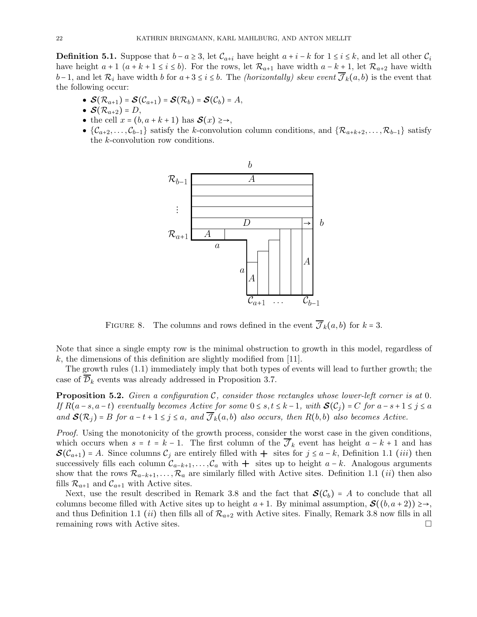**Definition 5.1.** Suppose that  $b - a \geq 3$ , let  $\mathcal{C}_{a+i}$  have height  $a + i - k$  for  $1 \leq i \leq k$ , and let all other  $\mathcal{C}_i$ have height  $a + 1$   $(a + k + 1 \le i \le b)$ . For the rows, let  $\mathcal{R}_{a+1}$  have width  $a - k + 1$ , let  $\mathcal{R}_{a+2}$  have width  $b-1$ , and let  $\mathcal{R}_i$  have width b for  $a+3 \leq i \leq b$ . The *(horizontally) skew event*  $\overline{\mathcal{J}}_k(a, b)$  is the event that the following occur:

- $\mathcal{S}(\mathcal{R}_{a+1}) = \mathcal{S}(\mathcal{C}_{a+1}) = \mathcal{S}(\mathcal{R}_b) = \mathcal{S}(\mathcal{C}_b) = A$ ,
- $\bullet$   $\mathcal{S}(\mathcal{R}_{a+2}) = D$ ,
- the cell  $x = (b, a + k + 1)$  has  $\mathcal{S}(x) \geq \rightarrow$ ,
- $\{\mathcal{C}_{a+2},\ldots,\mathcal{C}_{b-1}\}\$  satisfy the k-convolution column conditions, and  $\{\mathcal{R}_{a+k+2},\ldots,\mathcal{R}_{b-1}\}\$  satisfy the k-convolution row conditions.



FIGURE 8. The columns and rows defined in the event  $\overline{\mathcal{J}}_k(a, b)$  for  $k = 3$ .

Note that since a single empty row is the minimal obstruction to growth in this model, regardless of  $k$ , the dimensions of this definition are slightly modified from [11].

The growth rules (1.1) immediately imply that both types of events will lead to further growth; the case of  $\overline{\mathcal{D}}_k$  events was already addressed in Proposition 3.7.

**Proposition 5.2.** Given a configuration C, consider those rectangles whose lower-left corner is at 0. If  $R(a-s, a-t)$  eventually becomes Active for some  $0 \le s, t \le k-1$ , with  $\mathcal{S}(\mathcal{C}_i) = C$  for  $a-s+1 \le j \le a$ and  $\mathcal{S}(\mathcal{R}_i) = B$  for  $a - t + 1 \leq j \leq a$ , and  $\overline{\mathcal{J}}_k(a, b)$  also occurs, then  $R(b, b)$  also becomes Active.

Proof. Using the monotonicity of the growth process, consider the worst case in the given conditions, which occurs when  $s = t = k - 1$ . The first column of the  $\overline{\mathcal{J}}_k$  event has height  $a - k + 1$  and has  $\mathcal{S}(\mathcal{C}_{a+1}) = A$ . Since columns  $\mathcal{C}_j$  are entirely filled with  $+$  sites for  $j \leq a-k$ , Definition 1.1 (*iii*) then successively fills each column  $C_{a-k+1}, \ldots, C_a$  with  $+$  sites up to height  $a-k$ . Analogous arguments show that the rows  $\mathcal{R}_{a-k+1}, \ldots, \mathcal{R}_a$  are similarly filled with Active sites. Definition 1.1 (*ii*) then also fills  $\mathcal{R}_{a+1}$  and  $\mathcal{C}_{a+1}$  with Active sites.

Next, use the result described in Remark 3.8 and the fact that  $\mathcal{S}(\mathcal{C}_b) = A$  to conclude that all columns become filled with Active sites up to height  $a + 1$ . By minimal assumption,  $\mathcal{S}((b, a + 2)) \geq \rightarrow$ , and thus Definition 1.1 *(ii)* then fills all of  $\mathcal{R}_{a+2}$  with Active sites. Finally, Remark 3.8 now fills in all remaining rows with Active sites. remaining rows with Active sites.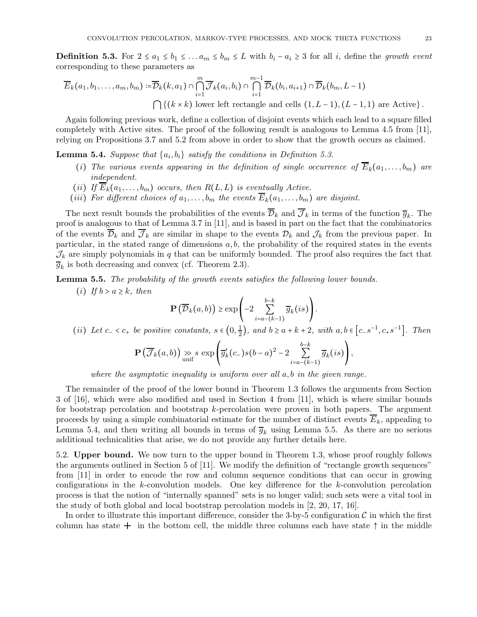**Definition 5.3.** For  $2 \le a_1 \le b_1 \le ... a_m \le b_m \le L$  with  $b_i - a_i \ge 3$  for all *i*, define the growth event corresponding to these parameters as

$$
\overline{E}_k(a_1, b_1, \dots, a_m, b_m) := \overline{\mathcal{D}}_k(k, a_1) \cap \bigcap_{i=1}^m \overline{\mathcal{J}}_k(a_i, b_i) \cap \bigcap_{i=1}^{m-1} \overline{\mathcal{D}}_k(b_i, a_{i+1}) \cap \overline{\mathcal{D}}_k(b_m, L-1)
$$
\n
$$
\bigcap \{(k \times k) \text{ lower left rectangle and cells } (1, L-1), (L-1, 1) \text{ are Active}\}.
$$

Again following previous work, define a collection of disjoint events which each lead to a square filled completely with Active sites. The proof of the following result is analogous to Lemma 4.5 from [11], relying on Propositions 3.7 and 5.2 from above in order to show that the growth occurs as claimed.

**Lemma 5.4.** Suppose that  $\{a_i, b_i\}$  satisfy the conditions in Definition 5.3.

- (i) The various events appearing in the definition of single occurrence of  $\overline{E}_k(a_1, \ldots, b_m)$  are independent.
- (ii) If  $E_k(a_1, \ldots, b_m)$  occurs, then  $R(L, L)$  is eventually Active.
- (iii) For different choices of  $a_1, \ldots, b_m$  the events  $E_k(a_1, \ldots, b_m)$  are disjoint.

The next result bounds the probabilities of the events  $\mathcal{D}_k$  and  $\mathcal{J}_k$  in terms of the function  $\overline{g}_k$ . The proof is analogous to that of Lemma 3.7 in [11], and is based in part on the fact that the combinatorics of the events  $\overline{\mathcal{D}}_k$  and  $\overline{\mathcal{J}}_k$  are similar in shape to the events  $\mathcal{D}_k$  and  $\mathcal{J}_k$  from the previous paper. In particular, in the stated range of dimensions  $a, b$ , the probability of the required states in the events  $\mathcal{J}_k$  are simply polynomials in q that can be uniformly bounded. The proof also requires the fact that  $\overline{g}_k$  is both decreasing and convex (cf. Theorem 2.3).

Lemma 5.5. The probability of the growth events satisfies the following lower bounds.

(i) If  $b > a \geq k$ , then

$$
\mathbf{P}\left(\overline{\mathcal{D}}_k(a,b)\right) \geq \exp\left(-2\sum_{i=a-(k-1)}^{b-k} \overline{g}_k(is)\right).
$$

(*ii*) Let  $c_- < c_+$  be positive constants,  $s \in (0, \frac{1}{2})$  $\frac{1}{2}$ , and  $b \ge a + k + 2$ , with  $a, b \in [c_-s^{-1}, c_+s^{-1}]$ . Then

$$
\mathbf{P}\left(\overline{\mathcal{J}}_k(a,b)\right) \underset{\text{unif}}{\gg} s \, \exp\left(\overline{g}_k'(c_-)s(b-a)^2 - 2\sum_{i=a-(k-1)}^{b-k} \overline{g}_k(is)\right),\,
$$

where the asymptotic inequality is uniform over all  $a, b$  in the given range.

The remainder of the proof of the lower bound in Theorem 1.3 follows the arguments from Section 3 of [16], which were also modified and used in Section 4 from [11], which is where similar bounds for bootstrap percolation and bootstrap k-percolation were proven in both papers. The argument proceeds by using a simple combinatorial estimate for the number of distinct events  $\overline{E}_k$ , appealing to Lemma 5.4, and then writing all bounds in terms of  $\overline{g}_k$  using Lemma 5.5. As there are no serious additional technicalities that arise, we do not provide any further details here.

5.2. Upper bound. We now turn to the upper bound in Theorem 1.3, whose proof roughly follows the arguments outlined in Section 5 of [11]. We modify the definition of "rectangle growth sequences" from [11] in order to encode the row and column sequence conditions that can occur in growing configurations in the k-convolution models. One key difference for the k-convolution percolation process is that the notion of "internally spanned" sets is no longer valid; such sets were a vital tool in the study of both global and local bootstrap percolation models in [2, 20, 17, 16].

In order to illustrate this important difference, consider the 3-by-5 configuration  $\mathcal C$  in which the first column has state  $+$  in the bottom cell, the middle three columns each have state  $\uparrow$  in the middle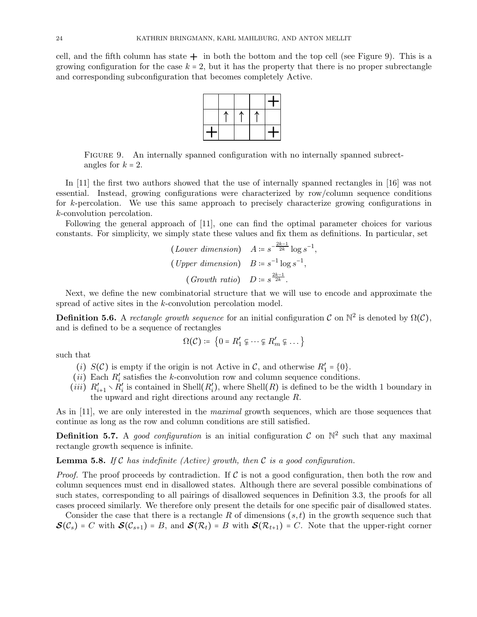cell, and the fifth column has state  $+$  in both the bottom and the top cell (see Figure 9). This is a growing configuration for the case  $k = 2$ , but it has the property that there is no proper subrectangle and corresponding subconfiguration that becomes completely Active.



FIGURE 9. An internally spanned configuration with no internally spanned subrectangles for  $k = 2$ .

In [11] the first two authors showed that the use of internally spanned rectangles in [16] was not essential. Instead, growing configurations were characterized by row/column sequence conditions for k-percolation. We use this same approach to precisely characterize growing configurations in k-convolution percolation.

Following the general approach of [11], one can find the optimal parameter choices for various constants. For simplicity, we simply state these values and fix them as definitions. In particular, set

$$
(Lower\ dimension) \quad A \coloneqq s^{-\frac{2k-1}{2k}} \log s^{-1}
$$
\n
$$
(Upper\ dimension) \quad B \coloneqq s^{-1} \log s^{-1},
$$
\n
$$
(Growth\ ratio) \quad D \coloneqq s^{\frac{2k-1}{2k}}.
$$

,

Next, we define the new combinatorial structure that we will use to encode and approximate the spread of active sites in the k-convolution percolation model.

**Definition 5.6.** A rectangle growth sequence for an initial configuration C on  $\mathbb{N}^2$  is denoted by  $\Omega(\mathcal{C})$ , and is defined to be a sequence of rectangles

$$
\Omega(\mathcal{C}) \coloneqq \{0 = R'_1 \subsetneq \cdots \subsetneq R'_m \subsetneq \cdots\}
$$

such that

- (*i*)  $S(C)$  is empty if the origin is not Active in C, and otherwise  $R'_1 = \{0\}.$
- $(ii)$  Each  $R'_i$  $s_i$  satisfies the k-convolution row and column sequence conditions.
- $(iii)$   $R'_{i+1} \setminus R'_{i}$  $i$  is contained in Shell $(R'_i)$  $\mathcal{L}'_i$ , where Shell $(R)$  is defined to be the width 1 boundary in the upward and right directions around any rectangle R.

As in [11], we are only interested in the *maximal* growth sequences, which are those sequences that continue as long as the row and column conditions are still satisfied.

**Definition 5.7.** A good configuration is an initial configuration  $\mathcal{C}$  on  $\mathbb{N}^2$  such that any maximal rectangle growth sequence is infinite.

**Lemma 5.8.** If C has indefinite (Active) growth, then C is a good configuration.

*Proof.* The proof proceeds by contradiction. If  $\mathcal C$  is not a good configuration, then both the row and column sequences must end in disallowed states. Although there are several possible combinations of such states, corresponding to all pairings of disallowed sequences in Definition 3.3, the proofs for all cases proceed similarly. We therefore only present the details for one specific pair of disallowed states.

Consider the case that there is a rectangle R of dimensions  $(s, t)$  in the growth sequence such that  $\mathcal{S}(\mathcal{C}_s) = C$  with  $\mathcal{S}(\mathcal{C}_{s+1}) = B$ , and  $\mathcal{S}(\mathcal{R}_t) = B$  with  $\mathcal{S}(\mathcal{R}_{t+1}) = C$ . Note that the upper-right corner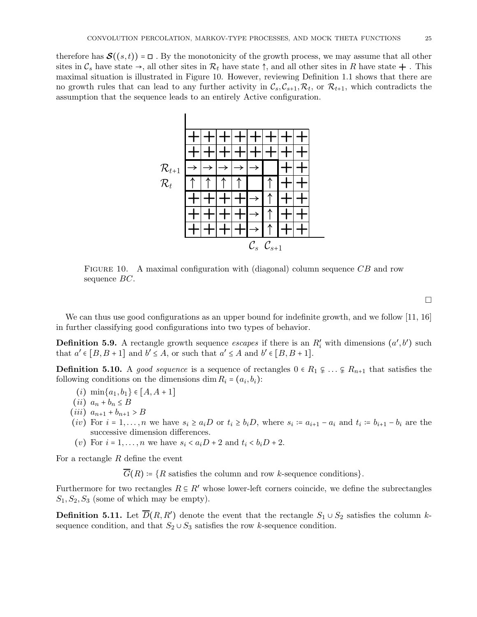therefore has  $\mathcal{S}((s,t)) = \square$ . By the monotonicity of the growth process, we may assume that all other sites in  $\mathcal{C}_s$  have state  $\rightarrow$ , all other sites in  $\mathcal{R}_t$  have state  $\uparrow$ , and all other sites in R have state  $\downarrow$ . This maximal situation is illustrated in Figure 10. However, reviewing Definition 1.1 shows that there are no growth rules that can lead to any further activity in  $\mathcal{C}_s, \mathcal{C}_{s+1}, \mathcal{R}_t$ , or  $\mathcal{R}_{t+1}$ , which contradicts the assumption that the sequence leads to an entirely Active configuration.



FIGURE 10. A maximal configuration with (diagonal) column sequence  $\overline{CB}$  and row sequence BC.

We can thus use good configurations as an upper bound for indefinite growth, and we follow [11, 16] in further classifying good configurations into two types of behavior.

**Definition 5.9.** A rectangle growth sequence escapes if there is an  $R'_i$  with dimensions  $(a', b')$  such that  $a' \in [B, B + 1]$  and  $b' \le A$ , or such that  $a' \le A$  and  $b' \in [B, B + 1]$ .

**Definition 5.10.** A good sequence is a sequence of rectangles  $0 \in R_1 \subsetneq \ldots \subsetneq R_{n+1}$  that satisfies the following conditions on the dimensions dim  $R_i = (a_i, b_i)$ :

- $(i)$  min $\{a_1, b_1\} \in [A, A+1]$
- (*ii*)  $a_n + b_n \leq B$
- $(iii)$   $a_{n+1} + b_{n+1} > B$
- (iv) For  $i = 1, \ldots, n$  we have  $s_i \ge a_i D$  or  $t_i \ge b_i D$ , where  $s_i := a_{i+1} a_i$  and  $t_i := b_{i+1} b_i$  are the successive dimension differences.
- (v) For  $i = 1, \ldots, n$  we have  $s_i < a_i D + 2$  and  $t_i < b_i D + 2$ .

For a rectangle  $R$  define the event

 $\overline{G}(R) = \{R \text{ satisfies the column and row } k\text{-sequence conditions}\}.$ 

Furthermore for two rectangles  $R \subseteq R'$  whose lower-left corners coincide, we define the subrectangles  $S_1, S_2, S_3$  (some of which may be empty).

**Definition 5.11.** Let  $\overline{D}(R, R')$  denote the event that the rectangle  $S_1 \cup S_2$  satisfies the column ksequence condition, and that  $S_2 \cup S_3$  satisfies the row k-sequence condition.

 $\Box$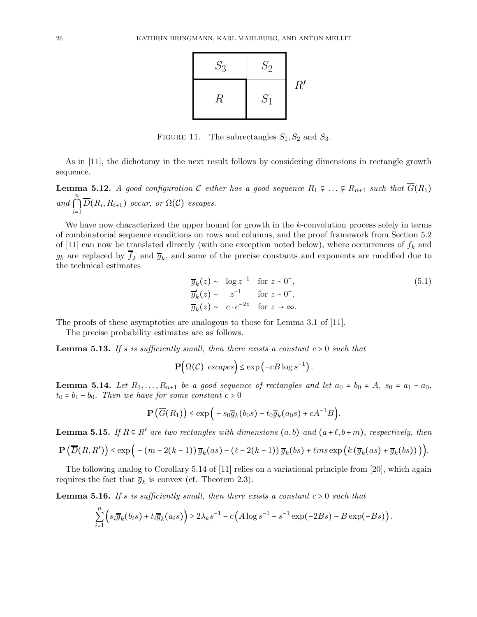

FIGURE 11. The subrectangles  $S_1, S_2$  and  $S_3$ .

As in [11], the dichotomy in the next result follows by considering dimensions in rectangle growth sequence.

**Lemma 5.12.** A good configuration C either has a good sequence  $R_1 \subseteq ... \subseteq R_{n+1}$  such that  $\overline{G}(R_1)$ and n  $\bigcap_{i=1} D(R_i, R_{i+1})$  occur, or  $\Omega(\mathcal{C})$  escapes.

We have now characterized the upper bound for growth in the k-convolution process solely in terms of combinatorial sequence conditions on rows and columns, and the proof framework from Section 5.2 of [11] can now be translated directly (with one exception noted below), where occurrences of  $f_k$  and  $g_k$  are replaced by  $f_k$  and  $\overline{g}_k$ , and some of the precise constants and exponents are modified due to the technical estimates

$$
\overline{g}_k(z) \sim \log z^{-1} \quad \text{for } z \sim 0^+, \n\overline{g}'_k(z) \sim z^{-1} \quad \text{for } z \sim 0^+, \n\overline{g}_k(z) \sim c \cdot e^{-2z} \quad \text{for } z \to \infty.
$$
\n(5.1)

The proofs of these asymptotics are analogous to those for Lemma 3.1 of [11].

The precise probability estimates are as follows.

**Lemma 5.13.** If s is sufficiently small, then there exists a constant  $c > 0$  such that

 $\mathbf{P}(\Omega(\mathcal{C}) \;\; \mathit{escapes}) \leq \exp\left(-cB\log s^{-1}\right).$ 

**Lemma 5.14.** Let  $R_1, \ldots, R_{n+1}$  be a good sequence of rectangles and let  $a_0 = b_0 = A$ ,  $s_0 = a_1 - a_0$ ,  $t_0 = b_1 - b_0$ . Then we have for some constant  $c > 0$ 

$$
\mathbf{P}\left(\overline{G}(R_1)\right) \le \exp\bigg(-s_0\overline{g}_k(b_0s)-t_0\overline{g}_k(a_0s)+cA^{-1}B\bigg).
$$

**Lemma 5.15.** If  $R \subseteq R'$  are two rectangles with dimensions  $(a, b)$  and  $(a + \ell, b + m)$ , respectively, then

$$
\mathbf{P}\left(\overline{D}(R,R')\right) \leq \exp\Big(-(m-2(k-1))\,\overline{g}_k(as)-\big(\ell-2(k-1)\big)\,\overline{g}_k(bs)+\ell ms\exp\big(k\big(\overline{g}_k(as)+\overline{g}_k(bs)\big)\big)\Big).
$$

The following analog to Corollary 5.14 of [11] relies on a variational principle from [20], which again requires the fact that  $\overline{g}_k$  is convex (cf. Theorem 2.3).

**Lemma 5.16.** If s is sufficiently small, then there exists a constant  $c > 0$  such that

$$
\sum_{i=1}^n \left( s_i \overline{g}_k(b_i s) + t_i \overline{g}_k(a_i s) \right) \geq 2 \lambda_k s^{-1} - c \left( A \log s^{-1} - s^{-1} \exp(-2Bs) - B \exp(-Bs) \right).
$$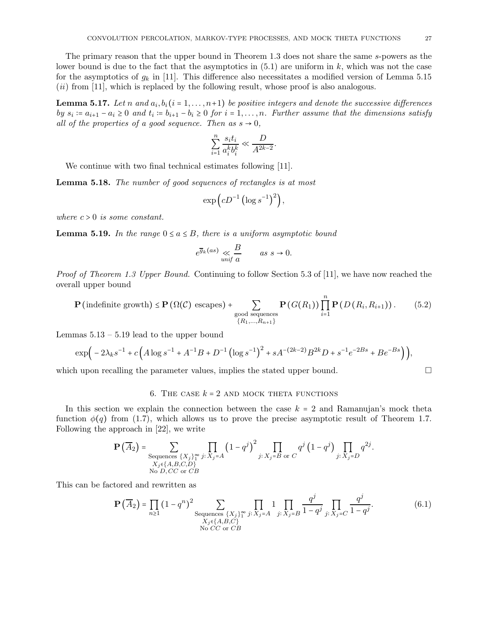The primary reason that the upper bound in Theorem 1.3 does not share the same s-powers as the lower bound is due to the fact that the asymptotics in  $(5.1)$  are uniform in k, which was not the case for the asymptotics of  $g_k$  in [11]. This difference also necessitates a modified version of Lemma 5.15 (ii) from [11], which is replaced by the following result, whose proof is also analogous.

**Lemma 5.17.** Let n and  $a_i, b_i$  ( $i = 1, ..., n+1$ ) be positive integers and denote the successive differences by  $s_i := a_{i+1} - a_i \geq 0$  and  $t_i := b_{i+1} - b_i \geq 0$  for  $i = 1, ..., n$ . Further assume that the dimensions satisfy all of the properties of a good sequence. Then as  $s \to 0$ ,

$$
\sum_{i=1}^n \frac{s_i t_i}{a_i^k b_i^k} \ll \frac{D}{A^{2k-2}}.
$$

We continue with two final technical estimates following [11].

Lemma 5.18. The number of good sequences of rectangles is at most

$$
\exp\left(cD^{-1}\left(\log s^{-1}\right)^2\right),\,
$$

where  $c > 0$  is some constant.

**Lemma 5.19.** In the range  $0 \le a \le B$ , there is a uniform asymptotic bound

$$
e^{\overline{g}_k(as)} \underset{unif \ a}{\ll} \frac{B}{a} \qquad as \ s \to 0.
$$

Proof of Theorem 1.3 Upper Bound. Continuing to follow Section 5.3 of [11], we have now reached the overall upper bound

$$
\mathbf{P}\left(\text{indefinite growth}\right) \leq \mathbf{P}\left(\Omega(\mathcal{C})\text{ escapes}\right) + \sum_{\substack{\text{good sequences} \\ \{R_1,\dots,R_{n+1}\}}} \mathbf{P}\left(G(R_1)\right) \prod_{i=1}^n \mathbf{P}\left(D\left(R_i,R_{i+1}\right)\right). \tag{5.2}
$$

Lemmas  $5.13 - 5.19$  lead to the upper bound

$$
\exp\Big(-2\lambda_k s^{-1} + c\Big(A\log s^{-1} + A^{-1}B + D^{-1}\left(\log s^{-1}\right)^2 + sA^{-(2k-2)}B^{2k}D + s^{-1}e^{-2Bs} + Be^{-Bs}\Big)\Big),\,
$$

which upon recalling the parameter values, implies the stated upper bound.  $\square$ 

#### 6. THE CASE  $k = 2$  AND MOCK THETA FUNCTIONS

In this section we explain the connection between the case  $k = 2$  and Ramanujan's mock theta function  $\phi(q)$  from (1.7), which allows us to prove the precise asymptotic result of Theorem 1.7. Following the approach in [22], we write

$$
\mathbf{P}\left(\overline{A}_{2}\right) = \sum_{\substack{\text{Sequences } \{X_{j}\}_{1}^{\infty} \ j:\ X_{j} = A}} \prod_{j:\ X_{j} = A} \left(1 - q^{j}\right)^{2} \prod_{j:\ X_{j} = B \text{ or } C} q^{j} \left(1 - q^{j}\right) \prod_{j:\ X_{j} = D} q^{2j}.
$$
\nNo D, CC or CB

This can be factored and rewritten as

$$
\mathbf{P}\left(\overline{A}_{2}\right) = \prod_{n\geq 1} (1 - q^{n})^{2} \sum_{\substack{\text{Sequences } \{X_{j}\}^{\infty}_{1} \ j:\ X_{j} = A}} \prod_{j:\ X_{j} = B} 1 \prod_{j:\ X_{j} = B} \frac{q^{j}}{1 - q^{j}} \prod_{j:\ X_{j} = C} \frac{q^{j}}{1 - q^{j}}.
$$
\n(6.1)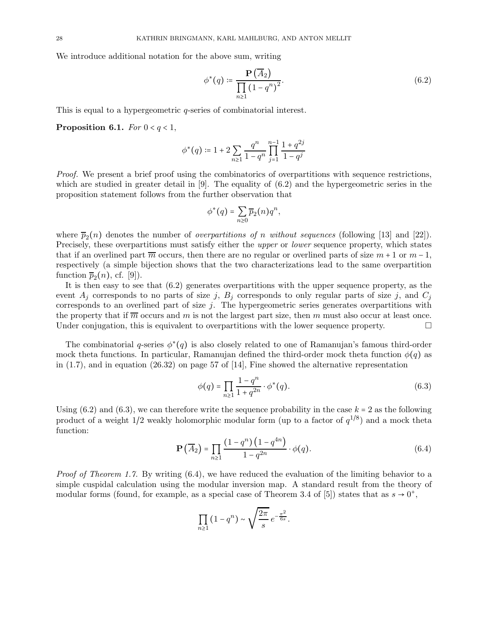We introduce additional notation for the above sum, writing

$$
\phi^*(q) \coloneqq \frac{\mathbf{P}\left(\overline{A}_2\right)}{\prod_{n\geq 1} \left(1 - q^n\right)^2}.\tag{6.2}
$$

This is equal to a hypergeometric *q*-series of combinatorial interest.

Proposition 6.1. For  $0 < q < 1$ ,

$$
\phi^*(q) \coloneqq 1 + 2\sum_{n\geq 1} \frac{q^n}{1-q^n} \prod_{j=1}^{n-1} \frac{1+q^{2j}}{1-q^j}
$$

Proof. We present a brief proof using the combinatorics of overpartitions with sequence restrictions, which are studied in greater detail in  $[9]$ . The equality of  $(6.2)$  and the hypergeometric series in the proposition statement follows from the further observation that

$$
\phi^*(q) = \sum_{n\geq 0} \overline{p}_2(n) q^n,
$$

where  $\overline{p}_2(n)$  denotes the number of *overpartitions of n without sequences* (following [13] and [22]). Precisely, these overpartitions must satisfy either the upper or lower sequence property, which states that if an overlined part  $\overline{m}$  occurs, then there are no regular or overlined parts of size  $m + 1$  or  $m - 1$ , respectively (a simple bijection shows that the two characterizations lead to the same overpartition function  $\overline{p}_2(n)$ , cf. [9]).

It is then easy to see that (6.2) generates overpartitions with the upper sequence property, as the event  $A_j$  corresponds to no parts of size j,  $B_j$  corresponds to only regular parts of size j, and  $C_j$ corresponds to an overlined part of size  $j$ . The hypergeometric series generates overpartitions with the property that if  $\overline{m}$  occurs and m is not the largest part size, then m must also occur at least once. Under conjugation, this is equivalent to overpartitions with the lower sequence property.  $\Box$ 

The combinatorial q-series  $\phi^*(q)$  is also closely related to one of Ramanujan's famous third-order mock theta functions. In particular, Ramanujan defined the third-order mock theta function  $\phi(q)$  as in  $(1.7)$ , and in equation  $(26.32)$  on page 57 of [14], Fine showed the alternative representation

$$
\phi(q) = \prod_{n \ge 1} \frac{1 - q^n}{1 + q^{2n}} \cdot \phi^*(q). \tag{6.3}
$$

Using  $(6.2)$  and  $(6.3)$ , we can therefore write the sequence probability in the case  $k = 2$  as the following product of a weight  $1/2$  weakly holomorphic modular form (up to a factor of  $q^{1/8}$ ) and a mock theta function:

$$
\mathbf{P}\left(\overline{A}_2\right) = \prod_{n\geq 1} \frac{\left(1 - q^n\right)\left(1 - q^{4n}\right)}{1 - q^{2n}} \cdot \phi(q). \tag{6.4}
$$

Proof of Theorem 1.7. By writing (6.4), we have reduced the evaluation of the limiting behavior to a simple cuspidal calculation using the modular inversion map. A standard result from the theory of modular forms (found, for example, as a special case of Theorem 3.4 of [5]) states that as  $s \to 0^+$ ,

$$
\prod_{n\geq 1} (1-q^n) \sim \sqrt{\frac{2\pi}{s}} e^{-\frac{\pi^2}{6s}}.
$$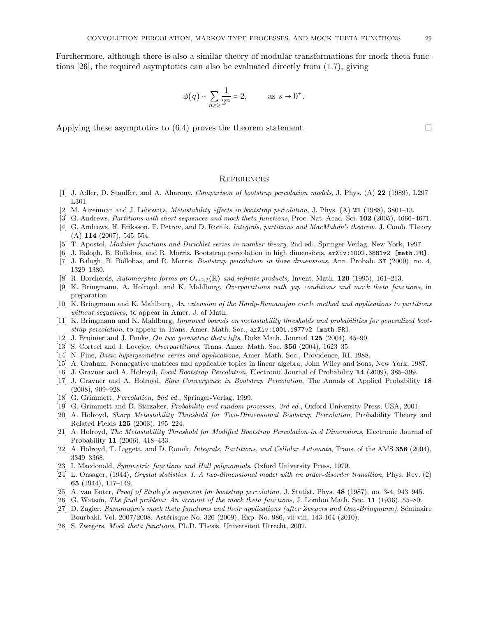Furthermore, although there is also a similar theory of modular transformations for mock theta functions [26], the required asymptotics can also be evaluated directly from (1.7), giving

$$
\phi(q) \sim \sum_{n\geq 0} \frac{1}{2^n} = 2,
$$
 as  $s \to 0^+$ .

Applying these asymptotics to  $(6.4)$  proves the theorem statement.

#### **REFERENCES**

- [1] J. Adler, D. Stauffer, and A. Aharony, Comparison of bootstrap percolation models, J. Phys. (A) 22 (1989), L297– L301.
- [2] M. Aizenman and J. Lebowitz, Metastability effects in bootstrap percolation, J. Phys. (A) 21 (1988), 3801–13.
- [3] G. Andrews, Partitions with short sequences and mock theta functions, Proc. Nat. Acad. Sci. 102 (2005), 4666–4671.
- [4] G. Andrews, H. Eriksson, F. Petrov, and D. Romik, Integrals, partitions and MacMahon's theorem, J. Comb. Theory  $(A)$  114 (2007), 545–554.
- [5] T. Apostol, Modular functions and Dirichlet series in number theory, 2nd ed., Springer-Verlag, New York, 1997.
- [6] J. Balogh, B. Bollobas, and R. Morris, Bootstrap percolation in high dimensions, arXiv:1002.3881v2 [math.PR].
- [7] J. Balogh, B. Bollobas, and R. Morris, Bootstrap percolation in three dimensions, Ann. Probab. 37 (2009), no. 4, 1329–1380.
- [8] R. Borcherds, Automorphic forms on  $O_{s+2,2}(\mathbb{R})$  and infinite products, Invent. Math. 120 (1995), 161–213.
- [9] K. Bringmann, A. Holroyd, and K. Mahlburg, Overpartitions with gap conditions and mock theta functions, in preparation.
- [10] K. Bringmann and K. Mahlburg, An extension of the Hardy-Ramanujan circle method and applications to partitions without sequences, to appear in Amer. J. of Math.
- [11] K. Bringmann and K. Mahlburg, *Improved bounds on metastability thresholds and probabilities for generalized boot*strap percolation, to appear in Trans. Amer. Math. Soc., arXiv:1001.1977v2 [math.PR].
- [12] J. Bruinier and J. Funke, On two geometric theta lifts, Duke Math. Journal 125 (2004), 45–90.
- [13] S. Corteel and J. Lovejoy, Overpartitions, Trans. Amer. Math. Soc. 356 (2004), 1623–35.
- [14] N. Fine, Basic hypergeometric series and applications, Amer. Math. Soc., Providence, RI, 1988.
- [15] A. Graham, Nonnegative matrices and applicable topics in linear algebra, John Wiley and Sons, New York, 1987.
- [16] J. Gravner and A. Holroyd, Local Bootstrap Percolation, Electronic Journal of Probability 14 (2009), 385–399.
- [17] J. Gravner and A. Holroyd, Slow Convergence in Bootstrap Percolation, The Annals of Applied Probability 18 (2008), 909–928.
- [18] G. Grimmett, *Percolation*, 2nd ed., Springer-Verlag, 1999.
- [19] G. Grimmett and D. Stirzaker, Probability and random processes, 3rd ed., Oxford University Press, USA, 2001.
- [20] A. Holroyd, Sharp Metastability Threshold for Two-Dimensional Bootstrap Percolation, Probability Theory and Related Fields 125 (2003), 195–224.
- [21] A. Holroyd, The Metastability Threshold for Modified Bootstrap Percolation in d Dimensions, Electronic Journal of Probability 11 (2006), 418–433.
- [22] A. Holroyd, T. Liggett, and D. Romik, *Integrals, Partitions, and Cellular Automata*, Trans. of the AMS 356 (2004), 3349–3368.
- [23] I. Macdonald, Symmetric functions and Hall polynomials, Oxford University Press, 1979.
- [24] L. Onsager, (1944), Crystal statistics. I. A two-dimensional model with an order-disorder transition, Phys. Rev. (2) 65 (1944), 117–149.
- [25] A. van Enter, Proof of Straley's argument for bootstrap percolation, J. Statist. Phys. 48 (1987), no. 3-4, 943–945.
- [26] G. Watson, The final problem: An account of the mock theta functions, J. London Math. Soc. 11 (1936), 55–80.
- [27] D. Zagier, Ramanujan's mock theta functions and their applications (after Zwegers and Ono-Bringmann). Séminaire Bourbaki. Vol. 2007/2008. Astérisque No. 326 (2009), Exp. No. 986, vii-viii, 143-164 (2010).
- [28] S. Zwegers, Mock theta functions, Ph.D. Thesis, Universiteit Utrecht, 2002.